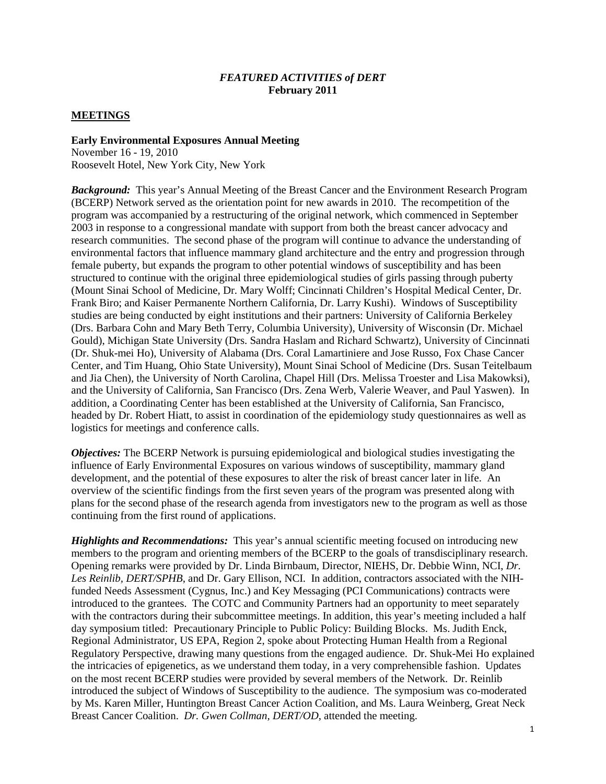#### *FEATURED ACTIVITIES of DERT* **February 2011**

#### **MEETINGS**

#### **Early Environmental Exposures Annual Meeting**

November 16 - 19, 2010 Roosevelt Hotel, New York City, New York

*Background:* This year's Annual Meeting of the Breast Cancer and the Environment Research Program (BCERP) Network served as the orientation point for new awards in 2010. The recompetition of the program was accompanied by a restructuring of the original network, which commenced in September 2003 in response to a congressional mandate with support from both the breast cancer advocacy and research communities. The second phase of the program will continue to advance the understanding of environmental factors that influence mammary gland architecture and the entry and progression through female puberty, but expands the program to other potential windows of susceptibility and has been structured to continue with the original three epidemiological studies of girls passing through puberty (Mount Sinai School of Medicine, Dr. Mary Wolff; Cincinnati Children's Hospital Medical Center, Dr. Frank Biro; and Kaiser Permanente Northern California, Dr. Larry Kushi). Windows of Susceptibility studies are being conducted by eight institutions and their partners: University of California Berkeley (Drs. Barbara Cohn and Mary Beth Terry, Columbia University), University of Wisconsin (Dr. Michael Gould), Michigan State University (Drs. Sandra Haslam and Richard Schwartz), University of Cincinnati (Dr. Shuk-mei Ho), University of Alabama (Drs. Coral Lamartiniere and Jose Russo, Fox Chase Cancer Center, and Tim Huang, Ohio State University), Mount Sinai School of Medicine (Drs. Susan Teitelbaum and Jia Chen), the University of North Carolina, Chapel Hill (Drs. Melissa Troester and Lisa Makowksi), and the University of California, San Francisco (Drs. Zena Werb, Valerie Weaver, and Paul Yaswen). In addition, a Coordinating Center has been established at the University of California, San Francisco, headed by Dr. Robert Hiatt, to assist in coordination of the epidemiology study questionnaires as well as logistics for meetings and conference calls.

*Objectives:* The BCERP Network is pursuing epidemiological and biological studies investigating the influence of Early Environmental Exposures on various windows of susceptibility, mammary gland development, and the potential of these exposures to alter the risk of breast cancer later in life. An overview of the scientific findings from the first seven years of the program was presented along with plans for the second phase of the research agenda from investigators new to the program as well as those continuing from the first round of applications.

*Highlights and Recommendations:* This year's annual scientific meeting focused on introducing new members to the program and orienting members of the BCERP to the goals of transdisciplinary research. Opening remarks were provided by Dr. Linda Birnbaum, Director, NIEHS, Dr. Debbie Winn, NCI, *Dr. Les Reinlib, DERT/SPHB*, and Dr. Gary Ellison, NCI. In addition, contractors associated with the NIHfunded Needs Assessment (Cygnus, Inc.) and Key Messaging (PCI Communications) contracts were introduced to the grantees. The COTC and Community Partners had an opportunity to meet separately with the contractors during their subcommittee meetings. In addition, this year's meeting included a half day symposium titled: Precautionary Principle to Public Policy: Building Blocks. Ms. Judith Enck, Regional Administrator, US EPA, Region 2, spoke about Protecting Human Health from a Regional Regulatory Perspective, drawing many questions from the engaged audience. Dr. Shuk-Mei Ho explained the intricacies of epigenetics, as we understand them today, in a very comprehensible fashion. Updates on the most recent BCERP studies were provided by several members of the Network. Dr. Reinlib introduced the subject of Windows of Susceptibility to the audience. The symposium was co-moderated by Ms. Karen Miller, Huntington Breast Cancer Action Coalition, and Ms. Laura Weinberg, Great Neck Breast Cancer Coalition. *Dr. Gwen Collman, DERT/OD*, attended the meeting.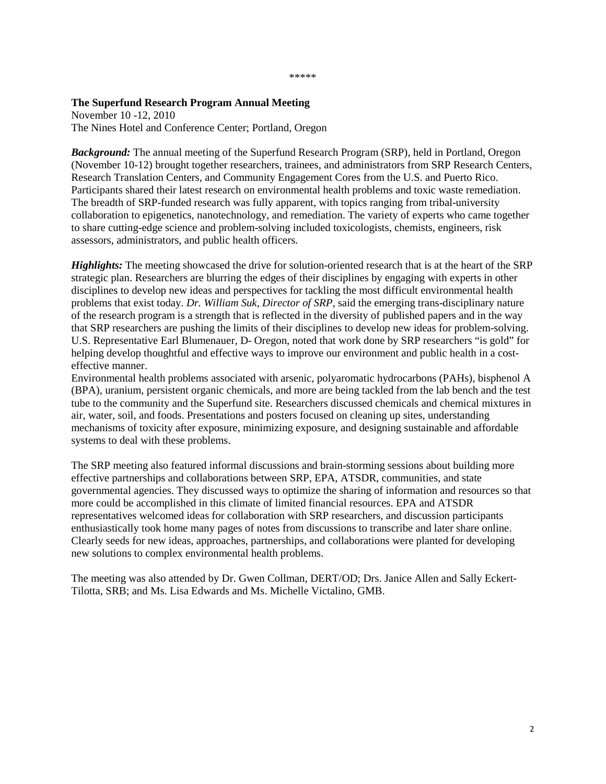#### \*\*\*\*\*

#### **The Superfund Research Program Annual Meeting**

November 10 -12, 2010 The Nines Hotel and Conference Center; Portland, Oregon

*Background:* The annual meeting of the Superfund Research Program (SRP), held in Portland, Oregon (November 10-12) brought together researchers, trainees, and administrators from SRP Research Centers, Research Translation Centers, and Community Engagement Cores from the U.S. and Puerto Rico. Participants shared their latest research on environmental health problems and toxic waste remediation. The breadth of SRP-funded research was fully apparent, with topics ranging from tribal-university collaboration to epigenetics, nanotechnology, and remediation. The variety of experts who came together to share cutting-edge science and problem-solving included toxicologists, chemists, engineers, risk assessors, administrators, and public health officers.

*Highlights:* The meeting showcased the drive for solution-oriented research that is at the heart of the SRP strategic plan. Researchers are blurring the edges of their disciplines by engaging with experts in other disciplines to develop new ideas and perspectives for tackling the most difficult environmental health problems that exist today. *Dr. William Suk, Director of SRP*, said the emerging trans-disciplinary nature of the research program is a strength that is reflected in the diversity of published papers and in the way that SRP researchers are pushing the limits of their disciplines to develop new ideas for problem-solving. U.S. Representative Earl Blumenauer, D- Oregon, noted that work done by SRP researchers "is gold" for helping develop thoughtful and effective ways to improve our environment and public health in a costeffective manner.

Environmental health problems associated with arsenic, polyaromatic hydrocarbons (PAHs), bisphenol A (BPA), uranium, persistent organic chemicals, and more are being tackled from the lab bench and the test tube to the community and the Superfund site. Researchers discussed chemicals and chemical mixtures in air, water, soil, and foods. Presentations and posters focused on cleaning up sites, understanding mechanisms of toxicity after exposure, minimizing exposure, and designing sustainable and affordable systems to deal with these problems.

The SRP meeting also featured informal discussions and brain-storming sessions about building more effective partnerships and collaborations between SRP, EPA, ATSDR, communities, and state governmental agencies. They discussed ways to optimize the sharing of information and resources so that more could be accomplished in this climate of limited financial resources. EPA and ATSDR representatives welcomed ideas for collaboration with SRP researchers, and discussion participants enthusiastically took home many pages of notes from discussions to transcribe and later share online. Clearly seeds for new ideas, approaches, partnerships, and collaborations were planted for developing new solutions to complex environmental health problems.

The meeting was also attended by Dr. Gwen Collman, DERT/OD; Drs. Janice Allen and Sally Eckert-Tilotta, SRB; and Ms. Lisa Edwards and Ms. Michelle Victalino, GMB.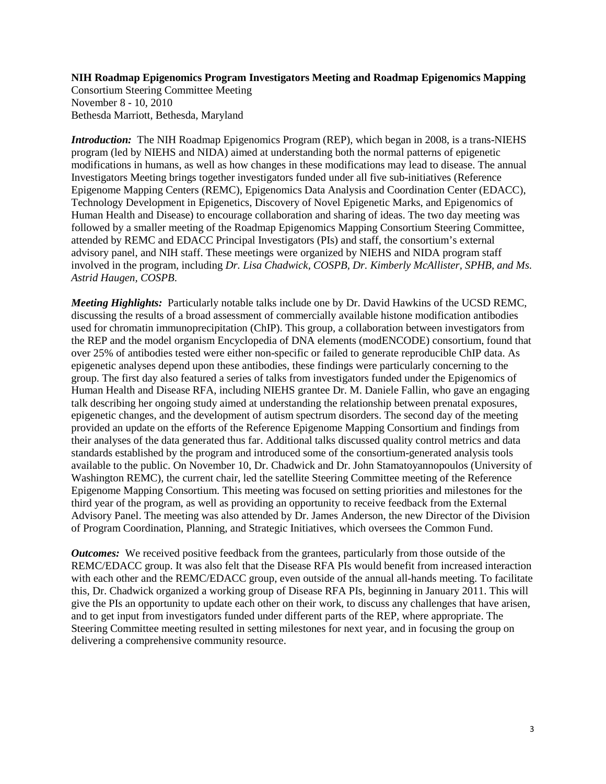## **NIH Roadmap Epigenomics Program Investigators Meeting and Roadmap Epigenomics Mapping**

Consortium Steering Committee Meeting November 8 - 10, 2010 Bethesda Marriott, Bethesda, Maryland

*Introduction:* The NIH Roadmap Epigenomics Program (REP), which began in 2008, is a trans-NIEHS program (led by NIEHS and NIDA) aimed at understanding both the normal patterns of epigenetic modifications in humans, as well as how changes in these modifications may lead to disease. The annual Investigators Meeting brings together investigators funded under all five sub-initiatives (Reference Epigenome Mapping Centers (REMC), Epigenomics Data Analysis and Coordination Center (EDACC), Technology Development in Epigenetics, Discovery of Novel Epigenetic Marks, and Epigenomics of Human Health and Disease) to encourage collaboration and sharing of ideas. The two day meeting was followed by a smaller meeting of the Roadmap Epigenomics Mapping Consortium Steering Committee, attended by REMC and EDACC Principal Investigators (PIs) and staff, the consortium's external advisory panel, and NIH staff. These meetings were organized by NIEHS and NIDA program staff involved in the program, including *Dr. Lisa Chadwick, COSPB, Dr. Kimberly McAllister, SPHB, and Ms. Astrid Haugen, COSPB*.

*Meeting Highlights:* Particularly notable talks include one by Dr. David Hawkins of the UCSD REMC, discussing the results of a broad assessment of commercially available histone modification antibodies used for chromatin immunoprecipitation (ChIP). This group, a collaboration between investigators from the REP and the model organism Encyclopedia of DNA elements (modENCODE) consortium, found that over 25% of antibodies tested were either non-specific or failed to generate reproducible ChIP data. As epigenetic analyses depend upon these antibodies, these findings were particularly concerning to the group. The first day also featured a series of talks from investigators funded under the Epigenomics of Human Health and Disease RFA, including NIEHS grantee Dr. M. Daniele Fallin, who gave an engaging talk describing her ongoing study aimed at understanding the relationship between prenatal exposures, epigenetic changes, and the development of autism spectrum disorders. The second day of the meeting provided an update on the efforts of the Reference Epigenome Mapping Consortium and findings from their analyses of the data generated thus far. Additional talks discussed quality control metrics and data standards established by the program and introduced some of the consortium-generated analysis tools available to the public. On November 10, Dr. Chadwick and Dr. John Stamatoyannopoulos (University of Washington REMC), the current chair, led the satellite Steering Committee meeting of the Reference Epigenome Mapping Consortium. This meeting was focused on setting priorities and milestones for the third year of the program, as well as providing an opportunity to receive feedback from the External Advisory Panel. The meeting was also attended by Dr. James Anderson, the new Director of the Division of Program Coordination, Planning, and Strategic Initiatives, which oversees the Common Fund.

*Outcomes:* We received positive feedback from the grantees, particularly from those outside of the REMC/EDACC group. It was also felt that the Disease RFA PIs would benefit from increased interaction with each other and the REMC/EDACC group, even outside of the annual all-hands meeting. To facilitate this, Dr. Chadwick organized a working group of Disease RFA PIs, beginning in January 2011. This will give the PIs an opportunity to update each other on their work, to discuss any challenges that have arisen, and to get input from investigators funded under different parts of the REP, where appropriate. The Steering Committee meeting resulted in setting milestones for next year, and in focusing the group on delivering a comprehensive community resource.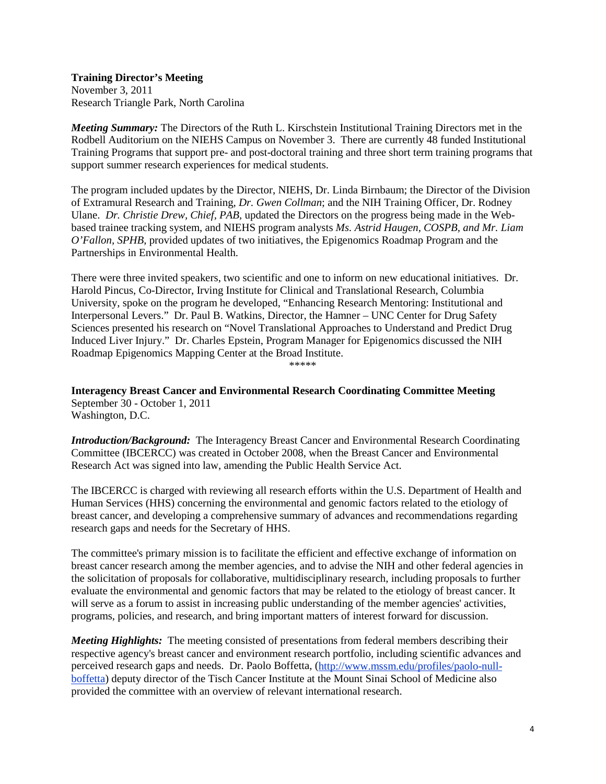# **Training Director's Meeting**

November 3, 2011 Research Triangle Park, North Carolina

*Meeting Summary:* The Directors of the Ruth L. Kirschstein Institutional Training Directors met in the Rodbell Auditorium on the NIEHS Campus on November 3. There are currently 48 funded Institutional Training Programs that support pre- and post-doctoral training and three short term training programs that support summer research experiences for medical students.

The program included updates by the Director, NIEHS, Dr. Linda Birnbaum; the Director of the Division of Extramural Research and Training, *Dr. Gwen Collman*; and the NIH Training Officer, Dr. Rodney Ulane. *Dr. Christie Drew, Chief, PAB,* updated the Directors on the progress being made in the Webbased trainee tracking system, and NIEHS program analysts *Ms. Astrid Haugen, COSPB, and Mr. Liam O'Fallon, SPHB*, provided updates of two initiatives, the Epigenomics Roadmap Program and the Partnerships in Environmental Health.

There were three invited speakers, two scientific and one to inform on new educational initiatives. Dr. Harold Pincus, Co-Director, Irving Institute for Clinical and Translational Research, Columbia University, spoke on the program he developed, "Enhancing Research Mentoring: Institutional and Interpersonal Levers." Dr. Paul B. Watkins, Director, the Hamner – UNC Center for Drug Safety Sciences presented his research on "Novel Translational Approaches to Understand and Predict Drug Induced Liver Injury." Dr. Charles Epstein, Program Manager for Epigenomics discussed the NIH Roadmap Epigenomics Mapping Center at the Broad Institute.

\*\*\*\*\*

**Interagency Breast Cancer and Environmental Research Coordinating Committee Meeting** September 30 - October 1, 2011 Washington, D.C.

*Introduction/Background:* The Interagency Breast Cancer and Environmental Research Coordinating Committee (IBCERCC) was created in October 2008, when the Breast Cancer and Environmental Research Act was signed into law, amending the Public Health Service Act.

The IBCERCC is charged with reviewing all research efforts within the U.S. Department of Health and Human Services (HHS) concerning the environmental and genomic factors related to the etiology of breast cancer, and developing a comprehensive summary of advances and recommendations regarding research gaps and needs for the Secretary of HHS.

The committee's primary mission is to facilitate the efficient and effective exchange of information on breast cancer research among the member agencies, and to advise the NIH and other federal agencies in the solicitation of proposals for collaborative, multidisciplinary research, including proposals to further evaluate the environmental and genomic factors that may be related to the etiology of breast cancer. It will serve as a forum to assist in increasing public understanding of the member agencies' activities, programs, policies, and research, and bring important matters of interest forward for discussion.

*Meeting Highlights:* The meeting consisted of presentations from federal members describing their respective agency's breast cancer and environment research portfolio, including scientific advances and perceived research gaps and needs. Dr. Paolo Boffetta, [\(http://www.mssm.edu/profiles/paolo-null](http://www.mssm.edu/profiles/paolo-null-boffetta)[boffetta\)](http://www.mssm.edu/profiles/paolo-null-boffetta) deputy director of the Tisch Cancer Institute at the Mount Sinai School of Medicine also provided the committee with an overview of relevant international research.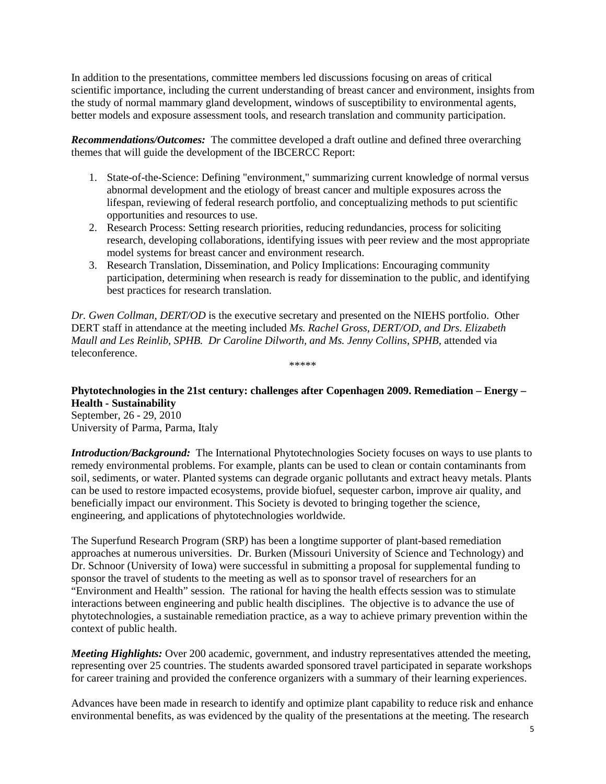In addition to the presentations, committee members led discussions focusing on areas of critical scientific importance, including the current understanding of breast cancer and environment, insights from the study of normal mammary gland development, windows of susceptibility to environmental agents, better models and exposure assessment tools, and research translation and community participation.

*Recommendations/Outcomes:* The committee developed a draft outline and defined three overarching themes that will guide the development of the IBCERCC Report:

- 1. State-of-the-Science: Defining "environment," summarizing current knowledge of normal versus abnormal development and the etiology of breast cancer and multiple exposures across the lifespan, reviewing of federal research portfolio, and conceptualizing methods to put scientific opportunities and resources to use.
- 2. Research Process: Setting research priorities, reducing redundancies, process for soliciting research, developing collaborations, identifying issues with peer review and the most appropriate model systems for breast cancer and environment research.
- 3. Research Translation, Dissemination, and Policy Implications: Encouraging community participation, determining when research is ready for dissemination to the public, and identifying best practices for research translation.

*Dr. Gwen Collman, DERT/OD* is the executive secretary and presented on the NIEHS portfolio. Other DERT staff in attendance at the meeting included *Ms. Rachel Gross, DERT/OD, and Drs. Elizabeth Maull and Les Reinlib, SPHB. Dr Caroline Dilworth, and Ms. Jenny Collins, SPHB*, attended via teleconference. \*\*\*\*\*

**Phytotechnologies in the 21st century: challenges after Copenhagen 2009. Remediation – Energy – Health - Sustainability**  September, 26 - 29, 2010

University of Parma, Parma, Italy

*Introduction/Background:* The International Phytotechnologies Society focuses on ways to use plants to remedy environmental problems. For example, plants can be used to clean or contain contaminants from soil, sediments, or water. Planted systems can degrade organic pollutants and extract heavy metals. Plants can be used to restore impacted ecosystems, provide biofuel, sequester carbon, improve air quality, and beneficially impact our environment. This Society is devoted to bringing together the science, engineering, and applications of phytotechnologies worldwide.

The Superfund Research Program (SRP) has been a longtime supporter of plant-based remediation approaches at numerous universities. Dr. Burken (Missouri University of Science and Technology) and Dr. Schnoor (University of Iowa) were successful in submitting a proposal for supplemental funding to sponsor the travel of students to the meeting as well as to sponsor travel of researchers for an "Environment and Health" session. The rational for having the health effects session was to stimulate interactions between engineering and public health disciplines. The objective is to advance the use of phytotechnologies, a sustainable remediation practice, as a way to achieve primary prevention within the context of public health.

*Meeting Highlights:* Over 200 academic, government, and industry representatives attended the meeting, representing over 25 countries. The students awarded sponsored travel participated in separate workshops for career training and provided the conference organizers with a summary of their learning experiences.

Advances have been made in research to identify and optimize plant capability to reduce risk and enhance environmental benefits, as was evidenced by the quality of the presentations at the meeting. The research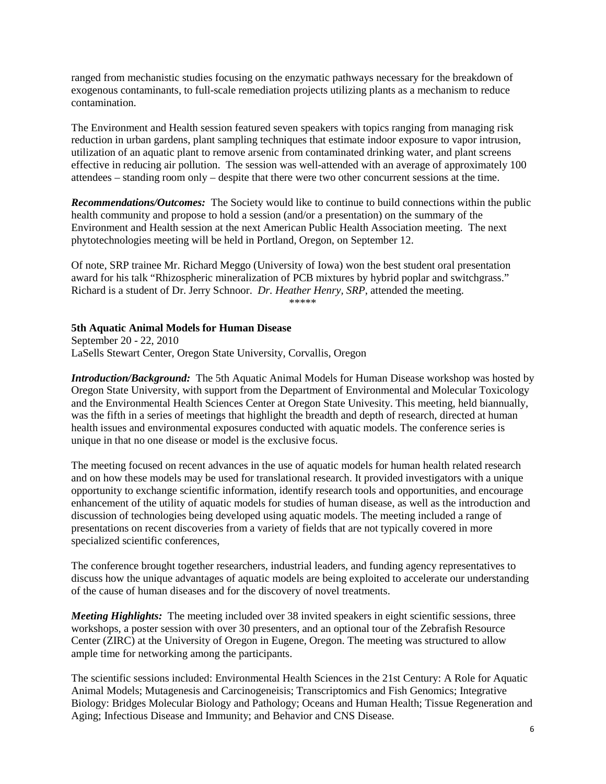ranged from mechanistic studies focusing on the enzymatic pathways necessary for the breakdown of exogenous contaminants, to full-scale remediation projects utilizing plants as a mechanism to reduce contamination.

The Environment and Health session featured seven speakers with topics ranging from managing risk reduction in urban gardens, plant sampling techniques that estimate indoor exposure to vapor intrusion, utilization of an aquatic plant to remove arsenic from contaminated drinking water, and plant screens effective in reducing air pollution. The session was well-attended with an average of approximately 100 attendees – standing room only – despite that there were two other concurrent sessions at the time.

*Recommendations/Outcomes:* The Society would like to continue to build connections within the public health community and propose to hold a session (and/or a presentation) on the summary of the Environment and Health session at the next American Public Health Association meeting. The next phytotechnologies meeting will be held in Portland, Oregon, on September 12.

Of note, SRP trainee Mr. Richard Meggo (University of Iowa) won the best student oral presentation award for his talk "Rhizospheric mineralization of PCB mixtures by hybrid poplar and switchgrass." Richard is a student of Dr. Jerry Schnoor. *Dr. Heather Henry, SRP*, attended the meeting. \*\*\*\*\*

#### **5th Aquatic Animal Models for Human Disease**

September 20 - 22, 2010 LaSells Stewart Center, Oregon State University, Corvallis, Oregon

*Introduction/Background:* The 5th Aquatic Animal Models for Human Disease workshop was hosted by Oregon State University, with support from the Department of Environmental and Molecular Toxicology and the Environmental Health Sciences Center at Oregon State Univesity. This meeting, held biannually, was the fifth in a series of meetings that highlight the breadth and depth of research, directed at human health issues and environmental exposures conducted with aquatic models. The conference series is unique in that no one disease or model is the exclusive focus.

The meeting focused on recent advances in the use of aquatic models for human health related research and on how these models may be used for translational research. It provided investigators with a unique opportunity to exchange scientific information, identify research tools and opportunities, and encourage enhancement of the utility of aquatic models for studies of human disease, as well as the introduction and discussion of technologies being developed using aquatic models. The meeting included a range of presentations on recent discoveries from a variety of fields that are not typically covered in more specialized scientific conferences,

The conference brought together researchers, industrial leaders, and funding agency representatives to discuss how the unique advantages of aquatic models are being exploited to accelerate our understanding of the cause of human diseases and for the discovery of novel treatments.

*Meeting Highlights:* The meeting included over 38 invited speakers in eight scientific sessions, three workshops, a poster session with over 30 presenters, and an optional tour of the Zebrafish Resource Center (ZIRC) at the University of Oregon in Eugene, Oregon. The meeting was structured to allow ample time for networking among the participants.

The scientific sessions included: Environmental Health Sciences in the 21st Century: A Role for Aquatic Animal Models; Mutagenesis and Carcinogeneisis; Transcriptomics and Fish Genomics; Integrative Biology: Bridges Molecular Biology and Pathology; Oceans and Human Health; Tissue Regeneration and Aging; Infectious Disease and Immunity; and Behavior and CNS Disease.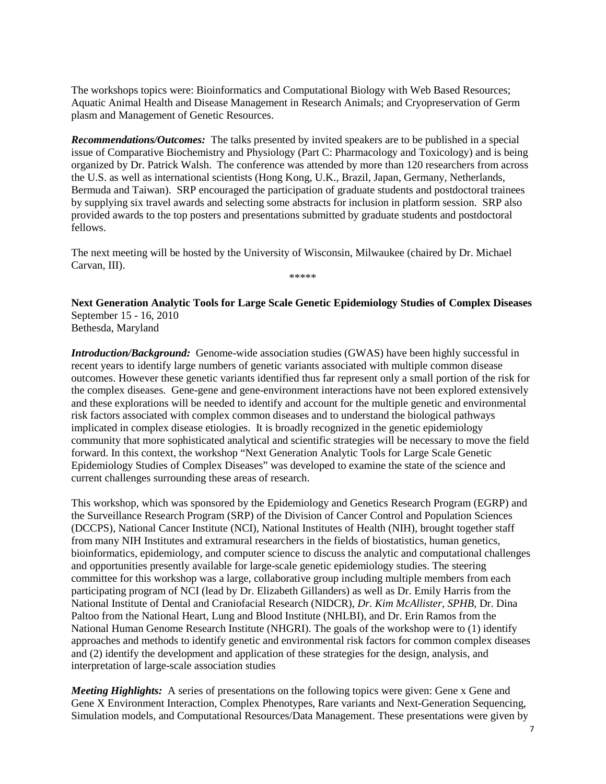The workshops topics were: Bioinformatics and Computational Biology with Web Based Resources; Aquatic Animal Health and Disease Management in Research Animals; and Cryopreservation of Germ plasm and Management of Genetic Resources.

*Recommendations/Outcomes:* The talks presented by invited speakers are to be published in a special issue of Comparative Biochemistry and Physiology (Part C: Pharmacology and Toxicology) and is being organized by Dr. Patrick Walsh. The conference was attended by more than 120 researchers from across the U.S. as well as international scientists (Hong Kong, U.K., Brazil, Japan, Germany, Netherlands, Bermuda and Taiwan). SRP encouraged the participation of graduate students and postdoctoral trainees by supplying six travel awards and selecting some abstracts for inclusion in platform session. SRP also provided awards to the top posters and presentations submitted by graduate students and postdoctoral fellows.

The next meeting will be hosted by the University of Wisconsin, Milwaukee (chaired by Dr. Michael Carvan, III). \*\*\*\*\*

**Next Generation Analytic Tools for Large Scale Genetic Epidemiology Studies of Complex Diseases** September 15 - 16, 2010 Bethesda, Maryland

*Introduction/Background:* Genome-wide association studies (GWAS) have been highly successful in recent years to identify large numbers of genetic variants associated with multiple common disease outcomes. However these genetic variants identified thus far represent only a small portion of the risk for the complex diseases. Gene-gene and gene-environment interactions have not been explored extensively and these explorations will be needed to identify and account for the multiple genetic and environmental risk factors associated with complex common diseases and to understand the biological pathways implicated in complex disease etiologies. It is broadly recognized in the genetic epidemiology community that more sophisticated analytical and scientific strategies will be necessary to move the field forward. In this context, the workshop "Next Generation Analytic Tools for Large Scale Genetic Epidemiology Studies of Complex Diseases" was developed to examine the state of the science and current challenges surrounding these areas of research.

This workshop, which was sponsored by the Epidemiology and Genetics Research Program (EGRP) and the Surveillance Research Program (SRP) of the Division of Cancer Control and Population Sciences (DCCPS), National Cancer Institute (NCI), National Institutes of Health (NIH), brought together staff from many NIH Institutes and extramural researchers in the fields of biostatistics, human genetics, bioinformatics, epidemiology, and computer science to discuss the analytic and computational challenges and opportunities presently available for large-scale genetic epidemiology studies. The steering committee for this workshop was a large, collaborative group including multiple members from each participating program of NCI (lead by Dr. Elizabeth Gillanders) as well as Dr. Emily Harris from the National Institute of Dental and Craniofacial Research (NIDCR), *Dr. Kim McAllister, SPHB*, Dr. Dina Paltoo from the National Heart, Lung and Blood Institute (NHLBI), and Dr. Erin Ramos from the National Human Genome Research Institute (NHGRI). The goals of the workshop were to (1) identify approaches and methods to identify genetic and environmental risk factors for common complex diseases and (2) identify the development and application of these strategies for the design, analysis, and interpretation of large-scale association studies

*Meeting Highlights:* A series of presentations on the following topics were given: Gene x Gene and Gene X Environment Interaction, Complex Phenotypes, Rare variants and Next-Generation Sequencing, Simulation models, and Computational Resources/Data Management. These presentations were given by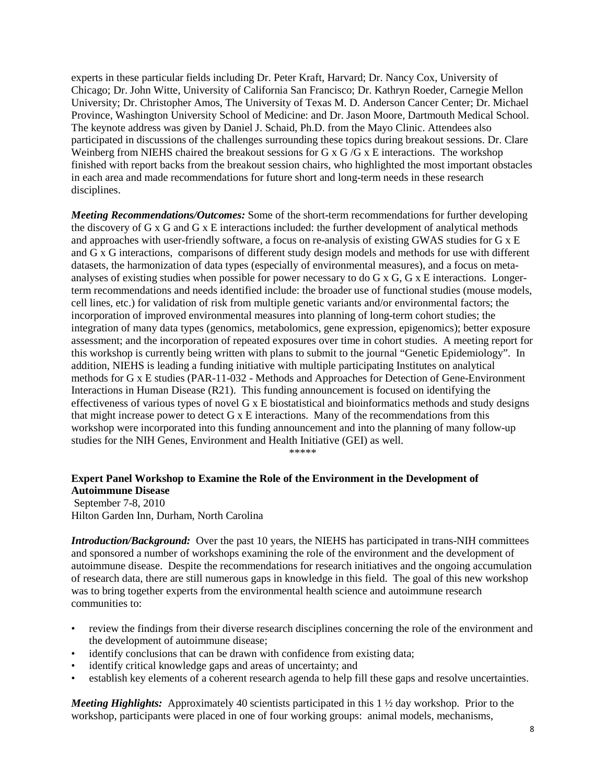experts in these particular fields including Dr. Peter Kraft, Harvard; Dr. Nancy Cox, University of Chicago; Dr. John Witte, University of California San Francisco; Dr. Kathryn Roeder, Carnegie Mellon University; Dr. Christopher Amos, The University of Texas M. D. Anderson Cancer Center; Dr. Michael Province, Washington University School of Medicine: and Dr. Jason Moore, Dartmouth Medical School. The keynote address was given by Daniel J. Schaid, Ph.D. from the Mayo Clinic. Attendees also participated in discussions of the challenges surrounding these topics during breakout sessions. Dr. Clare Weinberg from NIEHS chaired the breakout sessions for G x G /G x E interactions. The workshop finished with report backs from the breakout session chairs, who highlighted the most important obstacles in each area and made recommendations for future short and long-term needs in these research disciplines.

*Meeting Recommendations/Outcomes:* Some of the short-term recommendations for further developing the discovery of G x G and G x E interactions included: the further development of analytical methods and approaches with user-friendly software, a focus on re-analysis of existing GWAS studies for G x E and  $\overline{G}$  x G interactions, comparisons of different study design models and methods for use with different datasets, the harmonization of data types (especially of environmental measures), and a focus on metaanalyses of existing studies when possible for power necessary to do G x G, G x E interactions. Longerterm recommendations and needs identified include: the broader use of functional studies (mouse models, cell lines, etc.) for validation of risk from multiple genetic variants and/or environmental factors; the incorporation of improved environmental measures into planning of long-term cohort studies; the integration of many data types (genomics, metabolomics, gene expression, epigenomics); better exposure assessment; and the incorporation of repeated exposures over time in cohort studies. A meeting report for this workshop is currently being written with plans to submit to the journal "Genetic Epidemiology". In addition, NIEHS is leading a funding initiative with multiple participating Institutes on analytical methods for G x E studies (PAR-11-032 - Methods and Approaches for Detection of Gene-Environment Interactions in Human Disease (R21). This funding announcement is focused on identifying the effectiveness of various types of novel G x E biostatistical and bioinformatics methods and study designs that might increase power to detect G x E interactions. Many of the recommendations from this workshop were incorporated into this funding announcement and into the planning of many follow-up studies for the NIH Genes, Environment and Health Initiative (GEI) as well.

\*\*\*\*\*

## **Expert Panel Workshop to Examine the Role of the Environment in the Development of Autoimmune Disease**

September 7-8, 2010 Hilton Garden Inn, Durham, North Carolina

*Introduction/Background:* Over the past 10 years, the NIEHS has participated in trans-NIH committees and sponsored a number of workshops examining the role of the environment and the development of autoimmune disease. Despite the recommendations for research initiatives and the ongoing accumulation of research data, there are still numerous gaps in knowledge in this field. The goal of this new workshop was to bring together experts from the environmental health science and autoimmune research communities to:

- review the findings from their diverse research disciplines concerning the role of the environment and the development of autoimmune disease;
- identify conclusions that can be drawn with confidence from existing data;
- identify critical knowledge gaps and areas of uncertainty; and
- establish key elements of a coherent research agenda to help fill these gaps and resolve uncertainties.

*Meeting Highlights:* Approximately 40 scientists participated in this 1 ½ day workshop. Prior to the workshop, participants were placed in one of four working groups: animal models, mechanisms,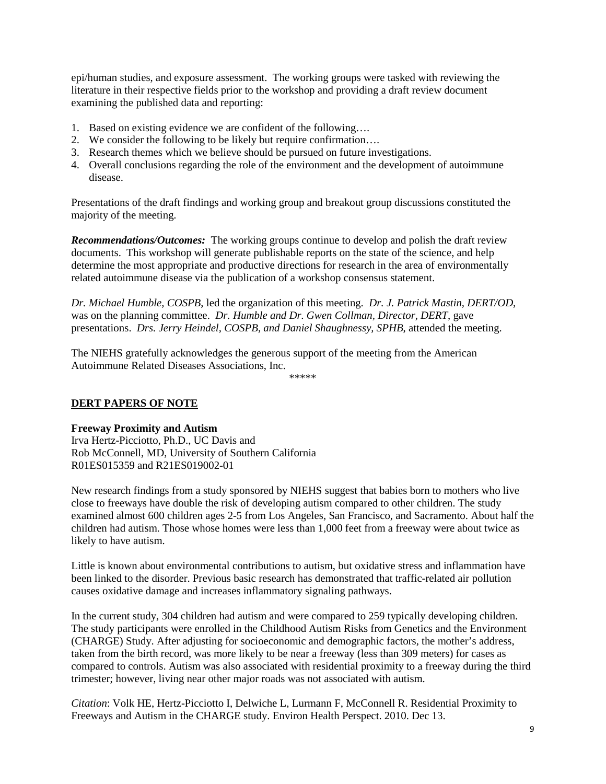epi/human studies, and exposure assessment. The working groups were tasked with reviewing the literature in their respective fields prior to the workshop and providing a draft review document examining the published data and reporting:

- 1. Based on existing evidence we are confident of the following….
- 2. We consider the following to be likely but require confirmation….
- 3. Research themes which we believe should be pursued on future investigations.
- 4. Overall conclusions regarding the role of the environment and the development of autoimmune disease.

Presentations of the draft findings and working group and breakout group discussions constituted the majority of the meeting.

*Recommendations/Outcomes:* The working groups continue to develop and polish the draft review documents. This workshop will generate publishable reports on the state of the science, and help determine the most appropriate and productive directions for research in the area of environmentally related autoimmune disease via the publication of a workshop consensus statement.

*Dr. Michael Humble, COSPB*, led the organization of this meeting. *Dr. J. Patrick Mastin, DERT/OD*, was on the planning committee. *Dr. Humble and Dr. Gwen Collman, Director, DERT*, gave presentations. *Drs. Jerry Heindel, COSPB, and Daniel Shaughnessy, SPHB*, attended the meeting.

The NIEHS gratefully acknowledges the generous support of the meeting from the American Autoimmune Related Diseases Associations, Inc.

\*\*\*\*\*

## **DERT PAPERS OF NOTE**

### **Freeway Proximity and Autism**

Irva Hertz-Picciotto, Ph.D., UC Davis and Rob McConnell, MD, University of Southern California R01ES015359 and R21ES019002-01

New research findings from a study sponsored by NIEHS suggest that babies born to mothers who live close to freeways have double the risk of developing autism compared to other children. The study examined almost 600 children ages 2-5 from Los Angeles, San Francisco, and Sacramento. About half the children had autism. Those whose homes were less than 1,000 feet from a freeway were about twice as likely to have autism.

Little is known about environmental contributions to autism, but oxidative stress and inflammation have been linked to the disorder. Previous basic research has demonstrated that traffic-related air pollution causes oxidative damage and increases inflammatory signaling pathways.

In the current study, 304 children had autism and were compared to 259 typically developing children. The study participants were enrolled in the Childhood Autism Risks from Genetics and the Environment (CHARGE) Study. After adjusting for socioeconomic and demographic factors, the mother's address, taken from the birth record, was more likely to be near a freeway (less than 309 meters) for cases as compared to controls. Autism was also associated with residential proximity to a freeway during the third trimester; however, living near other major roads was not associated with autism.

*Citation*: Volk HE, Hertz-Picciotto I, Delwiche L, Lurmann F, McConnell R. Residential Proximity to Freeways and Autism in the CHARGE study. Environ Health Perspect. 2010. Dec 13.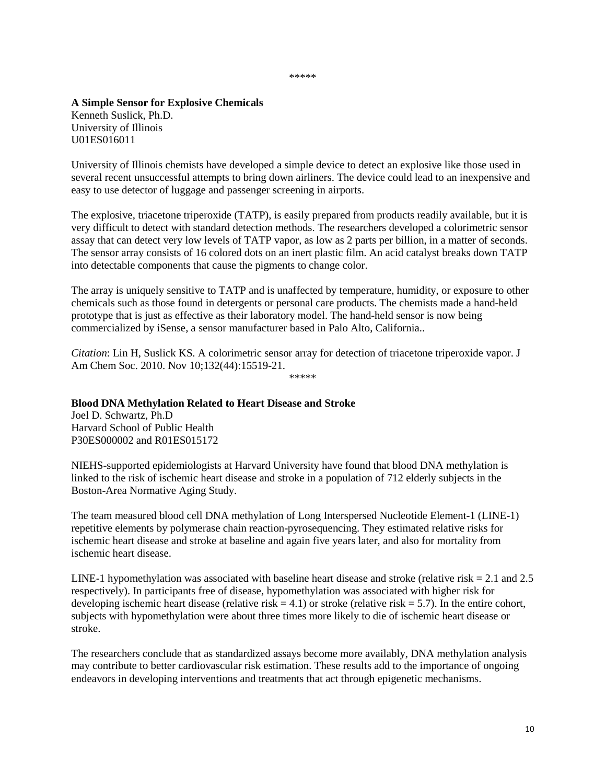\*\*\*\*\*

**A Simple Sensor for Explosive Chemicals** Kenneth Suslick, Ph.D. University of Illinois U01ES016011

University of Illinois chemists have developed a simple device to detect an explosive like those used in several recent unsuccessful attempts to bring down airliners. The device could lead to an inexpensive and easy to use detector of luggage and passenger screening in airports.

The explosive, triacetone triperoxide (TATP), is easily prepared from products readily available, but it is very difficult to detect with standard detection methods. The researchers developed a colorimetric sensor assay that can detect very low levels of TATP vapor, as low as 2 parts per billion, in a matter of seconds. The sensor array consists of 16 colored dots on an inert plastic film. An acid catalyst breaks down TATP into detectable components that cause the pigments to change color.

The array is uniquely sensitive to TATP and is unaffected by temperature, humidity, or exposure to other chemicals such as those found in detergents or personal care products. The chemists made a hand-held prototype that is just as effective as their laboratory model. The hand-held sensor is now being commercialized by iSense, a sensor manufacturer based in Palo Alto, California..

*Citation*: Lin H, Suslick KS. A colorimetric sensor array for detection of triacetone triperoxide vapor. J Am Chem Soc. 2010. Nov 10;132(44):15519-21. \*\*\*\*\*

### **Blood DNA Methylation Related to Heart Disease and Stroke**

Joel D. Schwartz, Ph.D Harvard School of Public Health P30ES000002 and R01ES015172

NIEHS-supported epidemiologists at Harvard University have found that blood DNA methylation is linked to the risk of ischemic heart disease and stroke in a population of 712 elderly subjects in the Boston-Area Normative Aging Study.

The team measured blood cell DNA methylation of Long Interspersed Nucleotide Element-1 (LINE-1) repetitive elements by polymerase chain reaction-pyrosequencing. They estimated relative risks for ischemic heart disease and stroke at baseline and again five years later, and also for mortality from ischemic heart disease.

LINE-1 hypomethylation was associated with baseline heart disease and stroke (relative risk  $= 2.1$  and 2.5 respectively). In participants free of disease, hypomethylation was associated with higher risk for developing ischemic heart disease (relative risk  $= 4.1$ ) or stroke (relative risk  $= 5.7$ ). In the entire cohort, subjects with hypomethylation were about three times more likely to die of ischemic heart disease or stroke.

The researchers conclude that as standardized assays become more availably, DNA methylation analysis may contribute to better cardiovascular risk estimation. These results add to the importance of ongoing endeavors in developing interventions and treatments that act through epigenetic mechanisms.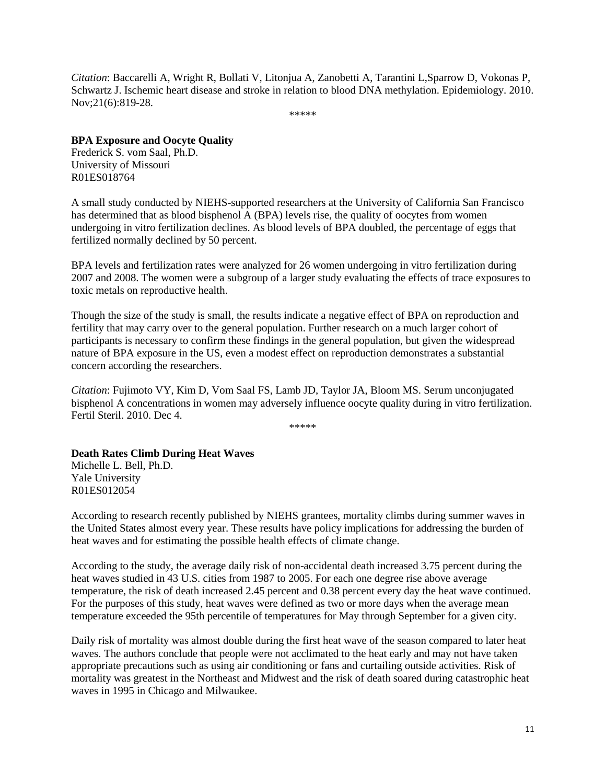*Citation*: Baccarelli A, Wright R, Bollati V, Litonjua A, Zanobetti A, Tarantini L,Sparrow D, Vokonas P, Schwartz J. Ischemic heart disease and stroke in relation to blood DNA methylation. Epidemiology. 2010. Nov;21(6):819-28.

\*\*\*\*\*

#### **BPA Exposure and Oocyte Quality**

Frederick S. vom Saal, Ph.D. University of Missouri R01ES018764

A small study conducted by NIEHS-supported researchers at the University of California San Francisco has determined that as blood bisphenol A (BPA) levels rise, the quality of oocytes from women undergoing in vitro fertilization declines. As blood levels of BPA doubled, the percentage of eggs that fertilized normally declined by 50 percent.

BPA levels and fertilization rates were analyzed for 26 women undergoing in vitro fertilization during 2007 and 2008. The women were a subgroup of a larger study evaluating the effects of trace exposures to toxic metals on reproductive health.

Though the size of the study is small, the results indicate a negative effect of BPA on reproduction and fertility that may carry over to the general population. Further research on a much larger cohort of participants is necessary to confirm these findings in the general population, but given the widespread nature of BPA exposure in the US, even a modest effect on reproduction demonstrates a substantial concern according the researchers.

*Citation*: Fujimoto VY, Kim D, Vom Saal FS, Lamb JD, Taylor JA, Bloom MS. Serum unconjugated bisphenol A concentrations in women may adversely influence oocyte quality during in vitro fertilization. Fertil Steril. 2010. Dec 4.

\*\*\*\*\*

#### **Death Rates Climb During Heat Waves**

Michelle L. Bell, Ph.D. Yale University R01ES012054

According to research recently published by NIEHS grantees, mortality climbs during summer waves in the United States almost every year. These results have policy implications for addressing the burden of heat waves and for estimating the possible health effects of climate change.

According to the study, the average daily risk of non-accidental death increased 3.75 percent during the heat waves studied in 43 U.S. cities from 1987 to 2005. For each one degree rise above average temperature, the risk of death increased 2.45 percent and 0.38 percent every day the heat wave continued. For the purposes of this study, heat waves were defined as two or more days when the average mean temperature exceeded the 95th percentile of temperatures for May through September for a given city.

Daily risk of mortality was almost double during the first heat wave of the season compared to later heat waves. The authors conclude that people were not acclimated to the heat early and may not have taken appropriate precautions such as using air conditioning or fans and curtailing outside activities. Risk of mortality was greatest in the Northeast and Midwest and the risk of death soared during catastrophic heat waves in 1995 in Chicago and Milwaukee.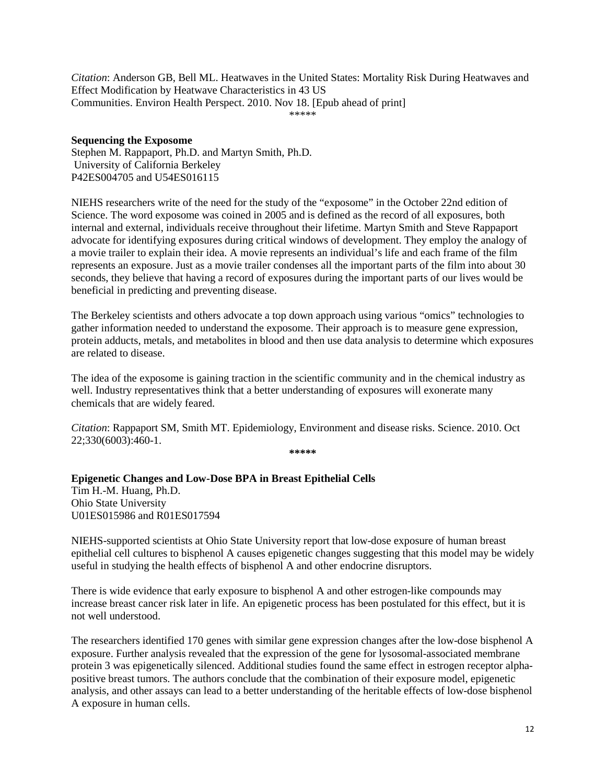*Citation*: Anderson GB, Bell ML. Heatwaves in the United States: Mortality Risk During Heatwaves and Effect Modification by Heatwave Characteristics in 43 US Communities. Environ Health Perspect. 2010. Nov 18. [Epub ahead of print] \*\*\*\*\*

#### **Sequencing the Exposome**

Stephen M. Rappaport, Ph.D. and Martyn Smith, Ph.D. University of California Berkeley P42ES004705 and U54ES016115

NIEHS researchers write of the need for the study of the "exposome" in the October 22nd edition of Science. The word exposome was coined in 2005 and is defined as the record of all exposures, both internal and external, individuals receive throughout their lifetime. Martyn Smith and Steve Rappaport advocate for identifying exposures during critical windows of development. They employ the analogy of a movie trailer to explain their idea. A movie represents an individual's life and each frame of the film represents an exposure. Just as a movie trailer condenses all the important parts of the film into about 30 seconds, they believe that having a record of exposures during the important parts of our lives would be beneficial in predicting and preventing disease.

The Berkeley scientists and others advocate a top down approach using various "omics" technologies to gather information needed to understand the exposome. Their approach is to measure gene expression, protein adducts, metals, and metabolites in blood and then use data analysis to determine which exposures are related to disease.

The idea of the exposome is gaining traction in the scientific community and in the chemical industry as well. Industry representatives think that a better understanding of exposures will exonerate many chemicals that are widely feared.

*Citation*: Rappaport SM, Smith MT. Epidemiology, Environment and disease risks. Science. 2010. Oct 22;330(6003):460-1.

**\*\*\*\*\***

## **Epigenetic Changes and Low-Dose BPA in Breast Epithelial Cells**

Tim H.-M. Huang, Ph.D. Ohio State University U01ES015986 and R01ES017594

NIEHS-supported scientists at Ohio State University report that low-dose exposure of human breast epithelial cell cultures to bisphenol A causes epigenetic changes suggesting that this model may be widely useful in studying the health effects of bisphenol A and other endocrine disruptors.

There is wide evidence that early exposure to bisphenol A and other estrogen-like compounds may increase breast cancer risk later in life. An epigenetic process has been postulated for this effect, but it is not well understood.

The researchers identified 170 genes with similar gene expression changes after the low-dose bisphenol A exposure. Further analysis revealed that the expression of the gene for lysosomal-associated membrane protein 3 was epigenetically silenced. Additional studies found the same effect in estrogen receptor alphapositive breast tumors. The authors conclude that the combination of their exposure model, epigenetic analysis, and other assays can lead to a better understanding of the heritable effects of low-dose bisphenol A exposure in human cells.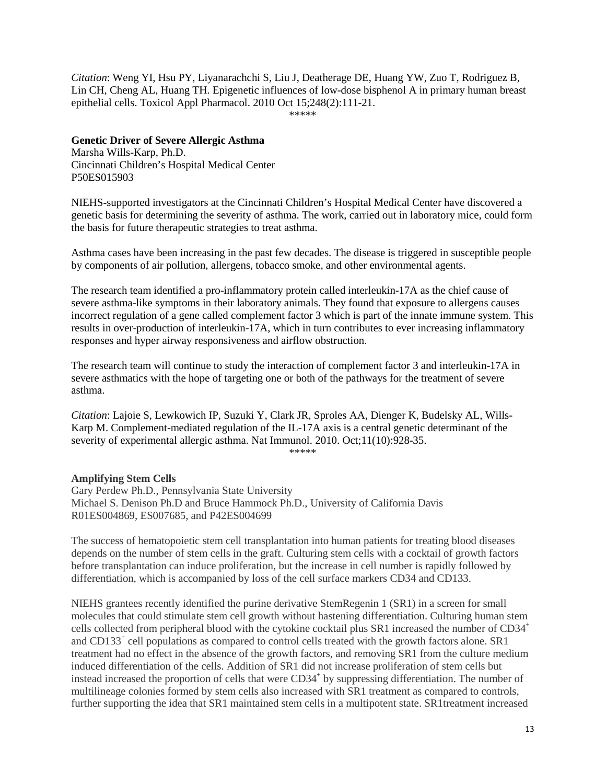*Citation*: Weng YI, Hsu PY, Liyanarachchi S, Liu J, Deatherage DE, Huang YW, Zuo T, Rodriguez B, Lin CH, Cheng AL, Huang TH. Epigenetic influences of low-dose bisphenol A in primary human breast epithelial cells. Toxicol Appl Pharmacol. 2010 Oct 15;248(2):111-21. \*\*\*\*\*

### **Genetic Driver of Severe Allergic Asthma**

Marsha Wills-Karp, Ph.D. Cincinnati Children's Hospital Medical Center P50ES015903

NIEHS-supported investigators at the Cincinnati Children's Hospital Medical Center have discovered a genetic basis for determining the severity of asthma. The work, carried out in laboratory mice, could form the basis for future therapeutic strategies to treat asthma.

Asthma cases have been increasing in the past few decades. The disease is triggered in susceptible people by components of air pollution, allergens, tobacco smoke, and other environmental agents.

The research team identified a pro-inflammatory protein called interleukin-17A as the chief cause of severe asthma-like symptoms in their laboratory animals. They found that exposure to allergens causes incorrect regulation of a gene called complement factor 3 which is part of the innate immune system. This results in over-production of interleukin-17A, which in turn contributes to ever increasing inflammatory responses and hyper airway responsiveness and airflow obstruction.

The research team will continue to study the interaction of complement factor 3 and interleukin-17A in severe asthmatics with the hope of targeting one or both of the pathways for the treatment of severe asthma.

*Citation*: Lajoie S, Lewkowich IP, Suzuki Y, Clark JR, Sproles AA, Dienger K, Budelsky AL, Wills-Karp M. Complement-mediated regulation of the IL-17A axis is a central genetic determinant of the severity of experimental allergic asthma. Nat Immunol. 2010. Oct;11(10):928-35.

\*\*\*\*\*

## **Amplifying Stem Cells**

Gary Perdew Ph.D., Pennsylvania State University Michael S. Denison Ph.D and Bruce Hammock Ph.D., University of California Davis R01ES004869, ES007685, and P42ES004699

The success of hematopoietic stem cell transplantation into human patients for treating blood diseases depends on the number of stem cells in the graft. Culturing stem cells with a cocktail of growth factors before transplantation can induce proliferation, but the increase in cell number is rapidly followed by differentiation, which is accompanied by loss of the cell surface markers CD34 and CD133.

NIEHS grantees recently identified the purine derivative StemRegenin 1 (SR1) in a screen for small molecules that could stimulate stem cell growth without hastening differentiation. Culturing human stem cells collected from peripheral blood with the cytokine cocktail plus SR1 increased the number of CD34<sup>+</sup> and CD133+ cell populations as compared to control cells treated with the growth factors alone. SR1 treatment had no effect in the absence of the growth factors, and removing SR1 from the culture medium induced differentiation of the cells. Addition of SR1 did not increase proliferation of stem cells but instead increased the proportion of cells that were CD34<sup>+</sup> by suppressing differentiation. The number of multilineage colonies formed by stem cells also increased with SR1 treatment as compared to controls, further supporting the idea that SR1 maintained stem cells in a multipotent state. SR1treatment increased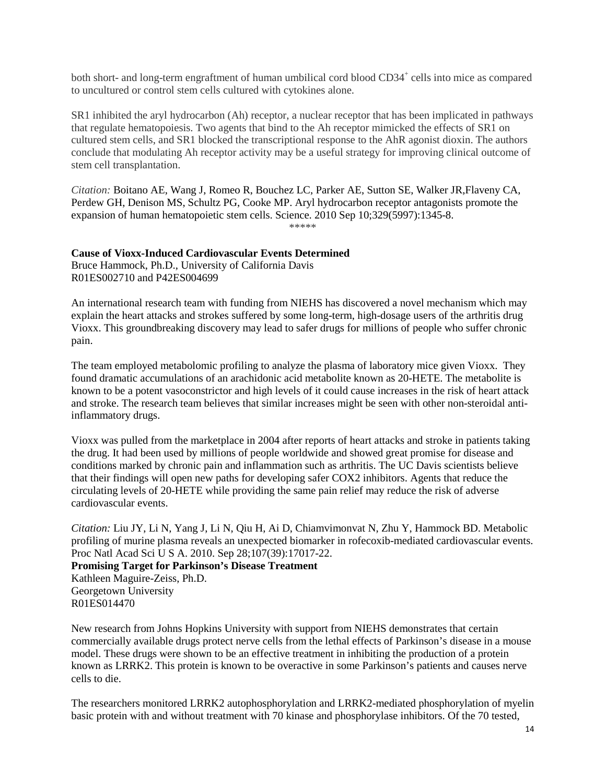both short- and long-term engraftment of human umbilical cord blood CD34<sup>+</sup> cells into mice as compared to uncultured or control stem cells cultured with cytokines alone.

SR1 inhibited the aryl hydrocarbon (Ah) receptor, a nuclear receptor that has been implicated in pathways that regulate hematopoiesis. Two agents that bind to the Ah receptor mimicked the effects of SR1 on cultured stem cells, and SR1 blocked the transcriptional response to the AhR agonist dioxin. The authors conclude that modulating Ah receptor activity may be a useful strategy for improving clinical outcome of stem cell transplantation.

*Citation:* Boitano AE, Wang J, Romeo R, Bouchez LC, Parker AE, Sutton SE, Walker JR,Flaveny CA, Perdew GH, Denison MS, Schultz PG, Cooke MP. Aryl hydrocarbon receptor antagonists promote the expansion of human hematopoietic stem cells. Science. 2010 Sep 10;329(5997):1345-8. \*\*\*\*\*

**Cause of Vioxx-Induced Cardiovascular Events Determined**

Bruce Hammock, Ph.D., University of California Davis R01ES002710 and P42ES004699

An international research team with funding from NIEHS has discovered a novel mechanism which may explain the heart attacks and strokes suffered by some long-term, high-dosage users of the arthritis drug Vioxx. This groundbreaking discovery may lead to safer drugs for millions of people who suffer chronic pain.

The team employed metabolomic profiling to analyze the plasma of laboratory mice given Vioxx. They found dramatic accumulations of an arachidonic acid metabolite known as 20-HETE. The metabolite is known to be a potent vasoconstrictor and high levels of it could cause increases in the risk of heart attack and stroke. The research team believes that similar increases might be seen with other non-steroidal antiinflammatory drugs.

Vioxx was pulled from the marketplace in 2004 after reports of heart attacks and stroke in patients taking the drug. It had been used by millions of people worldwide and showed great promise for disease and conditions marked by chronic pain and inflammation such as arthritis. The UC Davis scientists believe that their findings will open new paths for developing safer COX2 inhibitors. Agents that reduce the circulating levels of 20-HETE while providing the same pain relief may reduce the risk of adverse cardiovascular events.

*Citation:* Liu JY, Li N, Yang J, Li N, Qiu H, Ai D, Chiamvimonvat N, Zhu Y, Hammock BD. Metabolic profiling of murine plasma reveals an unexpected biomarker in rofecoxib-mediated cardiovascular events. Proc Natl Acad Sci U S A. 2010. Sep 28;107(39):17017-22.

**Promising Target for Parkinson's Disease Treatment**

Kathleen Maguire-Zeiss, Ph.D. Georgetown University R01ES014470

New research from Johns Hopkins University with support from NIEHS demonstrates that certain commercially available drugs protect nerve cells from the lethal effects of Parkinson's disease in a mouse model. These drugs were shown to be an effective treatment in inhibiting the production of a protein known as LRRK2. This protein is known to be overactive in some Parkinson's patients and causes nerve cells to die.

The researchers monitored LRRK2 autophosphorylation and LRRK2-mediated phosphorylation of myelin basic protein with and without treatment with 70 kinase and phosphorylase inhibitors. Of the 70 tested,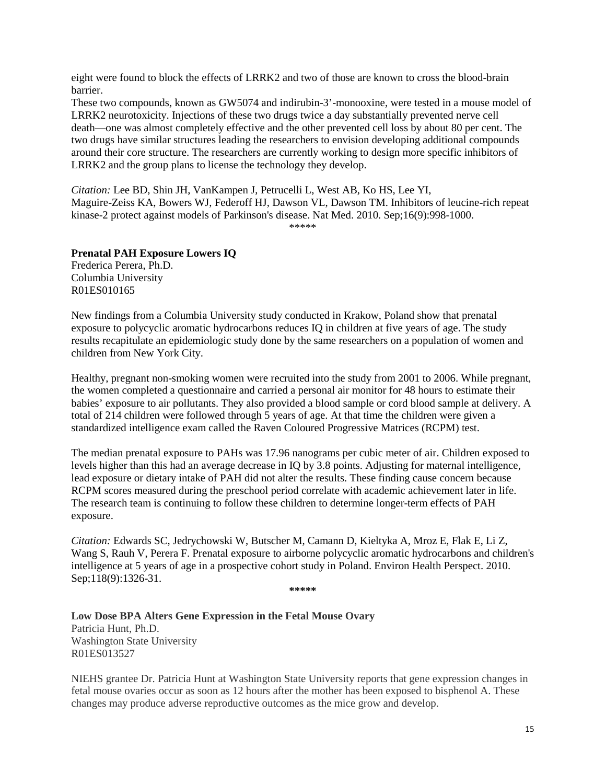eight were found to block the effects of LRRK2 and two of those are known to cross the blood-brain barrier.

These two compounds, known as GW5074 and indirubin-3'-monooxine, were tested in a mouse model of LRRK2 neurotoxicity. Injections of these two drugs twice a day substantially prevented nerve cell death—one was almost completely effective and the other prevented cell loss by about 80 per cent. The two drugs have similar structures leading the researchers to envision developing additional compounds around their core structure. The researchers are currently working to design more specific inhibitors of LRRK2 and the group plans to license the technology they develop.

*Citation:* Lee BD, Shin JH, VanKampen J, Petrucelli L, West AB, Ko HS, Lee YI, Maguire-Zeiss KA, Bowers WJ, Federoff HJ, Dawson VL, Dawson TM. Inhibitors of leucine-rich repeat kinase-2 protect against models of Parkinson's disease. Nat Med. 2010. Sep;16(9):998-1000. \*\*\*\*\*

**Prenatal PAH Exposure Lowers IQ**

Frederica Perera, Ph.D. Columbia University R01ES010165

New findings from a Columbia University study conducted in Krakow, Poland show that prenatal exposure to polycyclic aromatic hydrocarbons reduces IQ in children at five years of age. The study results recapitulate an epidemiologic study done by the same researchers on a population of women and children from New York City.

Healthy, pregnant non-smoking women were recruited into the study from 2001 to 2006. While pregnant, the women completed a questionnaire and carried a personal air monitor for 48 hours to estimate their babies' exposure to air pollutants. They also provided a blood sample or cord blood sample at delivery. A total of 214 children were followed through 5 years of age. At that time the children were given a standardized intelligence exam called the Raven Coloured Progressive Matrices (RCPM) test.

The median prenatal exposure to PAHs was 17.96 nanograms per cubic meter of air. Children exposed to levels higher than this had an average decrease in IQ by 3.8 points. Adjusting for maternal intelligence, lead exposure or dietary intake of PAH did not alter the results. These finding cause concern because RCPM scores measured during the preschool period correlate with academic achievement later in life. The research team is continuing to follow these children to determine longer-term effects of PAH exposure.

*Citation:* Edwards SC, Jedrychowski W, Butscher M, Camann D, Kieltyka A, Mroz E, Flak E, Li Z, Wang S, Rauh V, Perera F. Prenatal exposure to airborne polycyclic aromatic hydrocarbons and children's intelligence at 5 years of age in a prospective cohort study in Poland. Environ Health Perspect. 2010. Sep;118(9):1326-31.

**\*\*\*\*\***

**Low Dose BPA Alters Gene Expression in the Fetal Mouse Ovary** Patricia Hunt, Ph.D. Washington State University R01ES013527

NIEHS grantee Dr. Patricia Hunt at Washington State University reports that gene expression changes in fetal mouse ovaries occur as soon as 12 hours after the mother has been exposed to bisphenol A. These changes may produce adverse reproductive outcomes as the mice grow and develop.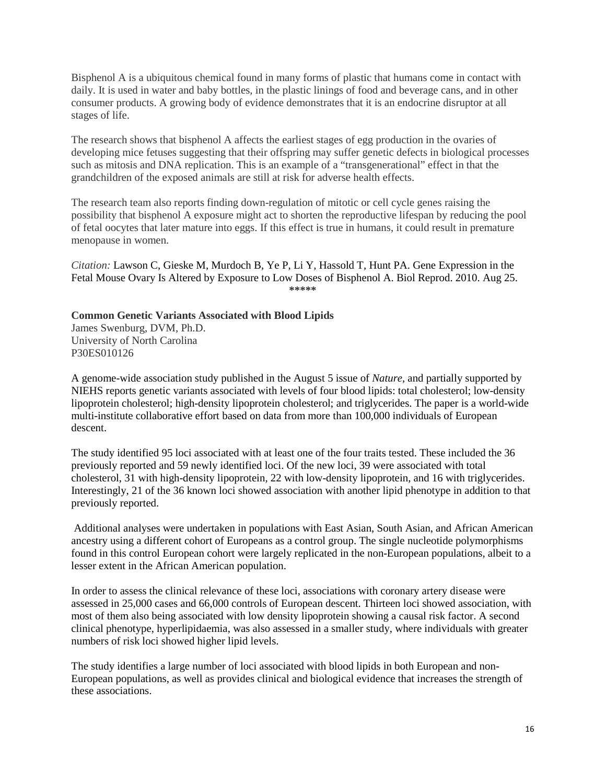Bisphenol A is a ubiquitous chemical found in many forms of plastic that humans come in contact with daily. It is used in water and baby bottles, in the plastic linings of food and beverage cans, and in other consumer products. A growing body of evidence demonstrates that it is an endocrine disruptor at all stages of life.

The research shows that bisphenol A affects the earliest stages of egg production in the ovaries of developing mice fetuses suggesting that their offspring may suffer genetic defects in biological processes such as mitosis and DNA replication. This is an example of a "transgenerational" effect in that the grandchildren of the exposed animals are still at risk for adverse health effects.

The research team also reports finding down-regulation of mitotic or cell cycle genes raising the possibility that bisphenol A exposure might act to shorten the reproductive lifespan by reducing the pool of fetal oocytes that later mature into eggs. If this effect is true in humans, it could result in premature menopause in women.

*Citation:* Lawson C, Gieske M, Murdoch B, Ye P, Li Y, Hassold T, Hunt PA. Gene Expression in the Fetal Mouse Ovary Is Altered by Exposure to Low Doses of Bisphenol A. Biol Reprod. 2010. Aug 25. **\*\*\*\*\*** 

**Common Genetic Variants Associated with Blood Lipids**

James Swenburg, DVM, Ph.D. University of North Carolina P30ES010126

A genome-wide association study published in the August 5 issue of *Nature*, and partially supported by NIEHS reports genetic variants associated with levels of four blood lipids: total cholesterol; low-density lipoprotein cholesterol; high-density lipoprotein cholesterol; and triglycerides. The paper is a world-wide multi-institute collaborative effort based on data from more than 100,000 individuals of European descent.

The study identified 95 loci associated with at least one of the four traits tested. These included the 36 previously reported and 59 newly identified loci. Of the new loci, 39 were associated with total cholesterol, 31 with high-density lipoprotein, 22 with low-density lipoprotein, and 16 with triglycerides. Interestingly, 21 of the 36 known loci showed association with another lipid phenotype in addition to that previously reported.

 Additional analyses were undertaken in populations with East Asian, South Asian, and African American ancestry using a different cohort of Europeans as a control group. The single nucleotide polymorphisms found in this control European cohort were largely replicated in the non-European populations, albeit to a lesser extent in the African American population.

In order to assess the clinical relevance of these loci, associations with coronary artery disease were assessed in 25,000 cases and 66,000 controls of European descent. Thirteen loci showed association, with most of them also being associated with low density lipoprotein showing a causal risk factor. A second clinical phenotype, hyperlipidaemia, was also assessed in a smaller study, where individuals with greater numbers of risk loci showed higher lipid levels.

The study identifies a large number of loci associated with blood lipids in both European and non-European populations, as well as provides clinical and biological evidence that increases the strength of these associations.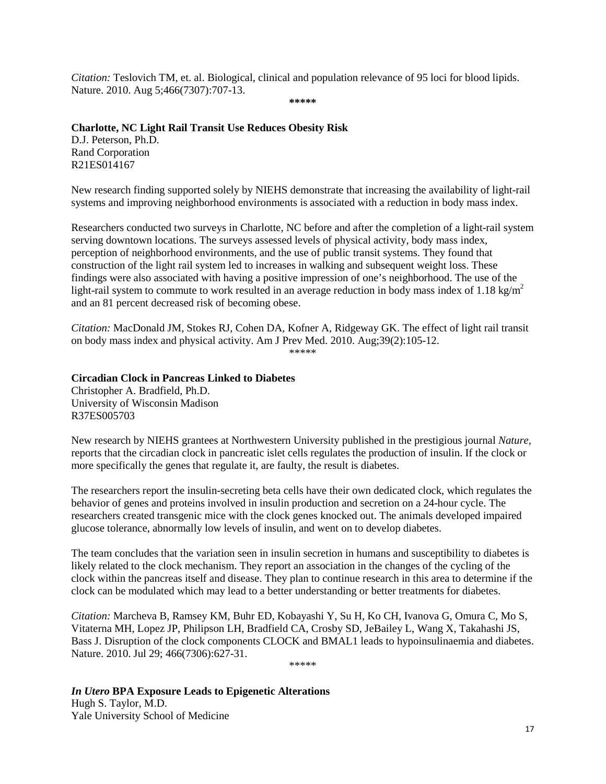*Citation:* Teslovich TM, et. al. Biological, clinical and population relevance of 95 loci for blood lipids. Nature. 2010. Aug 5;466(7307):707-13.

**\*\*\*\*\***

### **Charlotte, NC Light Rail Transit Use Reduces Obesity Risk**

D.J. Peterson, Ph.D. Rand Corporation R21ES014167

New research finding supported solely by NIEHS demonstrate that increasing the availability of light-rail systems and improving neighborhood environments is associated with a reduction in body mass index.

Researchers conducted two surveys in Charlotte, NC before and after the completion of a light-rail system serving downtown locations. The surveys assessed levels of physical activity, body mass index, perception of neighborhood environments, and the use of public transit systems. They found that construction of the light rail system led to increases in walking and subsequent weight loss. These findings were also associated with having a positive impression of one's neighborhood. The use of the light-rail system to commute to work resulted in an average reduction in body mass index of 1.18 kg/m<sup>2</sup> and an 81 percent decreased risk of becoming obese.

*Citation:* MacDonald JM, Stokes RJ, Cohen DA, Kofner A, Ridgeway GK. The effect of light rail transit on body mass index and physical activity. Am J Prev Med. 2010. Aug;39(2):105-12. \*\*\*\*\*

# **Circadian Clock in Pancreas Linked to Diabetes**

Christopher A. Bradfield, Ph.D. University of Wisconsin Madison R37ES005703

New research by NIEHS grantees at Northwestern University published in the prestigious journal *Nature,* reports that the circadian clock in pancreatic islet cells regulates the production of insulin. If the clock or more specifically the genes that regulate it, are faulty, the result is diabetes.

The researchers report the insulin-secreting beta cells have their own dedicated clock, which regulates the behavior of genes and proteins involved in insulin production and secretion on a 24-hour cycle. The researchers created transgenic mice with the clock genes knocked out. The animals developed impaired glucose tolerance, abnormally low levels of insulin, and went on to develop diabetes.

The team concludes that the variation seen in insulin secretion in humans and susceptibility to diabetes is likely related to the clock mechanism. They report an association in the changes of the cycling of the clock within the pancreas itself and disease. They plan to continue research in this area to determine if the clock can be modulated which may lead to a better understanding or better treatments for diabetes.

*Citation:* Marcheva B, Ramsey KM, Buhr ED, Kobayashi Y, Su H, Ko CH, Ivanova G, Omura C, Mo S, Vitaterna MH, Lopez JP, Philipson LH, Bradfield CA, Crosby SD, JeBailey L, Wang X, Takahashi JS, Bass J. Disruption of the clock components CLOCK and BMAL1 leads to hypoinsulinaemia and diabetes. Nature. 2010. Jul 29; 466(7306):627-31.

\*\*\*\*\*

*In Utero* **BPA Exposure Leads to Epigenetic Alterations** Hugh S. Taylor, M.D. Yale University School of Medicine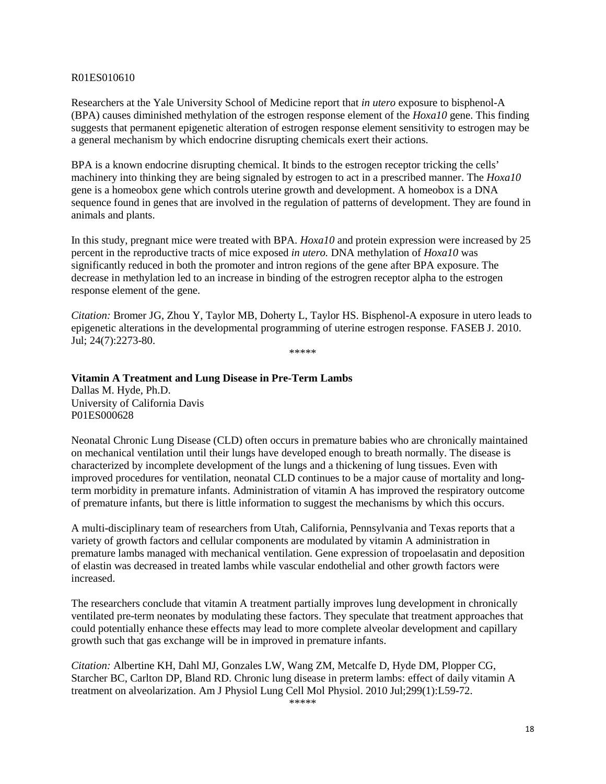#### R01ES010610

Researchers at the Yale University School of Medicine report that *in utero* exposure to bisphenol-A (BPA) causes diminished methylation of the estrogen response element of the *Hoxa10* gene. This finding suggests that permanent epigenetic alteration of estrogen response element sensitivity to estrogen may be a general mechanism by which endocrine disrupting chemicals exert their actions.

BPA is a known endocrine disrupting chemical. It binds to the estrogen receptor tricking the cells' machinery into thinking they are being signaled by estrogen to act in a prescribed manner. The *Hoxa10* gene is a homeobox gene which controls uterine growth and development. A homeobox is a DNA sequence found in genes that are involved in the regulation of patterns of development. They are found in animals and plants.

In this study, pregnant mice were treated with BPA. *Hoxa10* and protein expression were increased by 25 percent in the reproductive tracts of mice exposed *in utero.* DNA methylation of *Hoxa10* was significantly reduced in both the promoter and intron regions of the gene after BPA exposure. The decrease in methylation led to an increase in binding of the estrogren receptor alpha to the estrogen response element of the gene.

*Citation:* Bromer JG, Zhou Y, Taylor MB, Doherty L, Taylor HS. Bisphenol-A exposure in utero leads to epigenetic alterations in the developmental programming of uterine estrogen response. FASEB J. 2010. Jul; 24(7):2273-80.

\*\*\*\*\*

**Vitamin A Treatment and Lung Disease in Pre-Term Lambs** Dallas M. Hyde, Ph.D. University of California Davis P01ES000628

Neonatal Chronic Lung Disease (CLD) often occurs in premature babies who are chronically maintained on mechanical ventilation until their lungs have developed enough to breath normally. The disease is characterized by incomplete development of the lungs and a thickening of lung tissues. Even with improved procedures for ventilation, neonatal CLD continues to be a major cause of mortality and longterm morbidity in premature infants. Administration of vitamin A has improved the respiratory outcome of premature infants, but there is little information to suggest the mechanisms by which this occurs.

A multi-disciplinary team of researchers from Utah, California, Pennsylvania and Texas reports that a variety of growth factors and cellular components are modulated by vitamin A administration in premature lambs managed with mechanical ventilation. Gene expression of tropoelasatin and deposition of elastin was decreased in treated lambs while vascular endothelial and other growth factors were increased.

The researchers conclude that vitamin A treatment partially improves lung development in chronically ventilated pre-term neonates by modulating these factors. They speculate that treatment approaches that could potentially enhance these effects may lead to more complete alveolar development and capillary growth such that gas exchange will be in improved in premature infants.

*Citation:* Albertine KH, Dahl MJ, Gonzales LW, Wang ZM, Metcalfe D, Hyde DM, Plopper CG, Starcher BC, Carlton DP, Bland RD. Chronic lung disease in preterm lambs: effect of daily vitamin A treatment on alveolarization. Am J Physiol Lung Cell Mol Physiol. 2010 Jul;299(1):L59-72.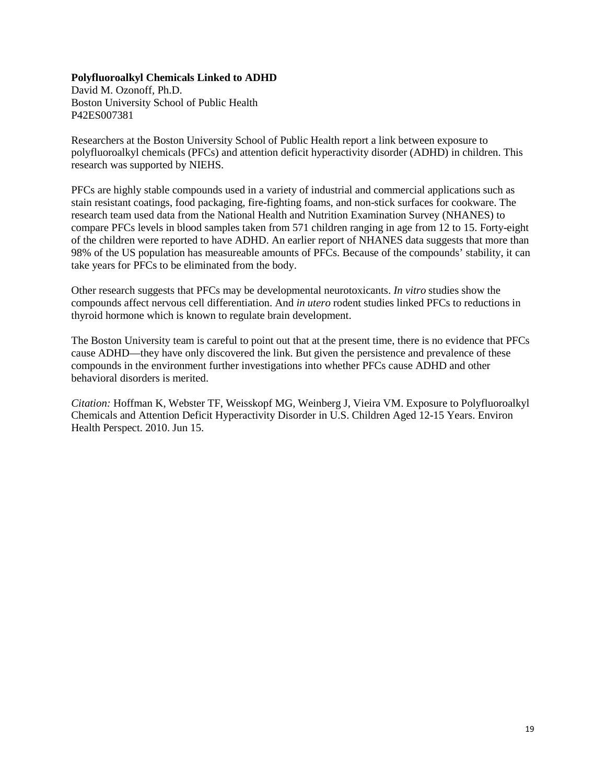#### **Polyfluoroalkyl Chemicals Linked to ADHD**

David M. Ozonoff, Ph.D. Boston University School of Public Health P42ES007381

Researchers at the Boston University School of Public Health report a link between exposure to polyfluoroalkyl chemicals (PFCs) and attention deficit hyperactivity disorder (ADHD) in children. This research was supported by NIEHS.

PFCs are highly stable compounds used in a variety of industrial and commercial applications such as stain resistant coatings, food packaging, fire-fighting foams, and non-stick surfaces for cookware. The research team used data from the National Health and Nutrition Examination Survey (NHANES) to compare PFCs levels in blood samples taken from 571 children ranging in age from 12 to 15. Forty-eight of the children were reported to have ADHD. An earlier report of NHANES data suggests that more than 98% of the US population has measureable amounts of PFCs. Because of the compounds' stability, it can take years for PFCs to be eliminated from the body.

Other research suggests that PFCs may be developmental neurotoxicants. *In vitro* studies show the compounds affect nervous cell differentiation. And *in utero* rodent studies linked PFCs to reductions in thyroid hormone which is known to regulate brain development.

The Boston University team is careful to point out that at the present time, there is no evidence that PFCs cause ADHD—they have only discovered the link. But given the persistence and prevalence of these compounds in the environment further investigations into whether PFCs cause ADHD and other behavioral disorders is merited.

*Citation:* Hoffman K, Webster TF, Weisskopf MG, Weinberg J, Vieira VM. Exposure to Polyfluoroalkyl Chemicals and Attention Deficit Hyperactivity Disorder in U.S. Children Aged 12-15 Years. Environ Health Perspect. 2010. Jun 15.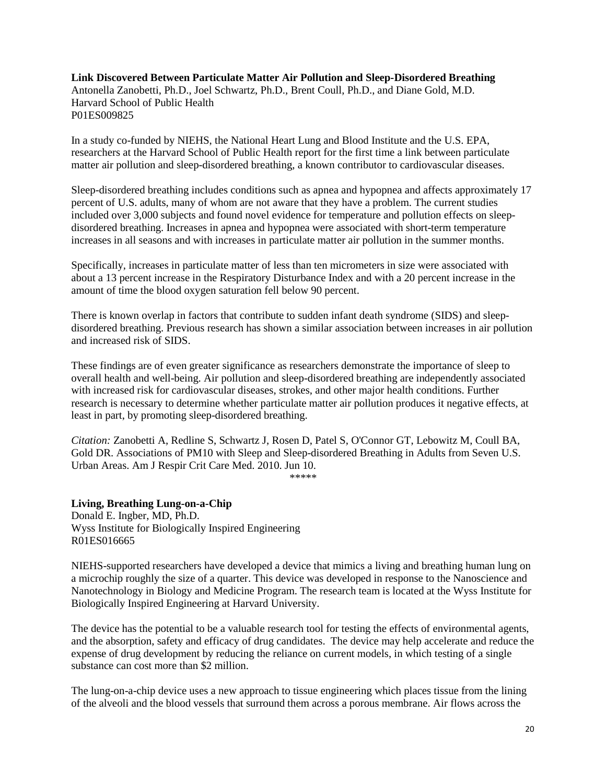**Link Discovered Between Particulate Matter Air Pollution and Sleep-Disordered Breathing** Antonella Zanobetti, Ph.D., Joel Schwartz, Ph.D., Brent Coull, Ph.D., and Diane Gold, M.D. Harvard School of Public Health P01ES009825

In a study co-funded by NIEHS, the National Heart Lung and Blood Institute and the U.S. EPA, researchers at the Harvard School of Public Health report for the first time a link between particulate matter air pollution and sleep-disordered breathing, a known contributor to cardiovascular diseases.

Sleep-disordered breathing includes conditions such as apnea and hypopnea and affects approximately 17 percent of U.S. adults, many of whom are not aware that they have a problem. The current studies included over 3,000 subjects and found novel evidence for temperature and pollution effects on sleepdisordered breathing. Increases in apnea and hypopnea were associated with short-term temperature increases in all seasons and with increases in particulate matter air pollution in the summer months.

Specifically, increases in particulate matter of less than ten micrometers in size were associated with about a 13 percent increase in the Respiratory Disturbance Index and with a 20 percent increase in the amount of time the blood oxygen saturation fell below 90 percent.

There is known overlap in factors that contribute to sudden infant death syndrome (SIDS) and sleepdisordered breathing. Previous research has shown a similar association between increases in air pollution and increased risk of SIDS.

These findings are of even greater significance as researchers demonstrate the importance of sleep to overall health and well-being. Air pollution and sleep-disordered breathing are independently associated with increased risk for cardiovascular diseases, strokes, and other major health conditions. Further research is necessary to determine whether particulate matter air pollution produces it negative effects, at least in part, by promoting sleep-disordered breathing.

*Citation:* Zanobetti A, Redline S, Schwartz J, Rosen D, Patel S, O'Connor GT, Lebowitz M, Coull BA, Gold DR. Associations of PM10 with Sleep and Sleep-disordered Breathing in Adults from Seven U.S. Urban Areas. Am J Respir Crit Care Med. 2010. Jun 10.

*\*\*\*\*\**

#### **Living, Breathing Lung-on-a-Chip**

Donald E. Ingber, MD, Ph.D. Wyss Institute for Biologically Inspired Engineering R01ES016665

NIEHS-supported researchers have developed a device that mimics a living and breathing human lung on a microchip roughly the size of a quarter. This device was developed in response to the Nanoscience and Nanotechnology in Biology and Medicine Program. The research team is located at the Wyss Institute for Biologically Inspired Engineering at Harvard University.

The device has the potential to be a valuable research tool for testing the effects of environmental agents, and the absorption, safety and efficacy of drug candidates. The device may help accelerate and reduce the expense of drug development by reducing the reliance on current models, in which testing of a single substance can cost more than \$2 million.

The lung-on-a-chip device uses a new approach to tissue engineering which places tissue from the lining of the alveoli and the blood vessels that surround them across a porous membrane. Air flows across the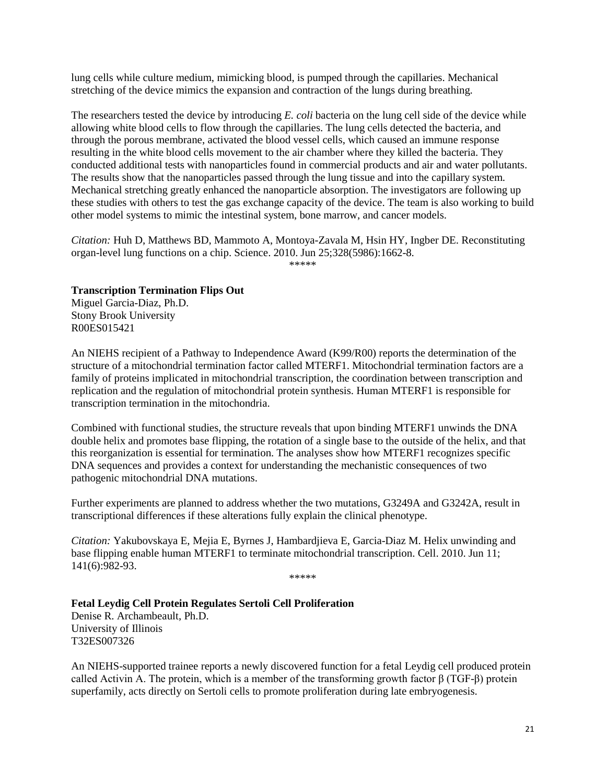lung cells while culture medium, mimicking blood, is pumped through the capillaries. Mechanical stretching of the device mimics the expansion and contraction of the lungs during breathing.

The researchers tested the device by introducing *E. coli* bacteria on the lung cell side of the device while allowing white blood cells to flow through the capillaries. The lung cells detected the bacteria, and through the porous membrane, activated the blood vessel cells, which caused an immune response resulting in the white blood cells movement to the air chamber where they killed the bacteria. They conducted additional tests with nanoparticles found in commercial products and air and water pollutants. The results show that the nanoparticles passed through the lung tissue and into the capillary system. Mechanical stretching greatly enhanced the nanoparticle absorption. The investigators are following up these studies with others to test the gas exchange capacity of the device. The team is also working to build other model systems to mimic the intestinal system, bone marrow, and cancer models.

*Citation:* Huh D, Matthews BD, Mammoto A, Montoya-Zavala M, Hsin HY, Ingber DE. Reconstituting organ-level lung functions on a chip. Science. 2010. Jun 25;328(5986):1662-8.

\*\*\*\*\*

### **Transcription Termination Flips Out**

Miguel Garcia-Diaz, Ph.D. Stony Brook University R00ES015421

An NIEHS recipient of a Pathway to Independence Award (K99/R00) reports the determination of the structure of a mitochondrial termination factor called MTERF1. Mitochondrial termination factors are a family of proteins implicated in mitochondrial transcription, the coordination between transcription and replication and the regulation of mitochondrial protein synthesis. Human MTERF1 is responsible for transcription termination in the mitochondria.

Combined with functional studies, the structure reveals that upon binding MTERF1 unwinds the DNA double helix and promotes base flipping, the rotation of a single base to the outside of the helix, and that this reorganization is essential for termination. The analyses show how MTERF1 recognizes specific DNA sequences and provides a context for understanding the mechanistic consequences of two pathogenic mitochondrial DNA mutations.

Further experiments are planned to address whether the two mutations, G3249A and G3242A, result in transcriptional differences if these alterations fully explain the clinical phenotype.

*Citation:* Yakubovskaya E, Mejia E, Byrnes J, Hambardjieva E, Garcia-Diaz M. Helix unwinding and base flipping enable human MTERF1 to terminate mitochondrial transcription. Cell. 2010. Jun 11; 141(6):982-93.

\*\*\*\*\*

### **Fetal Leydig Cell Protein Regulates Sertoli Cell Proliferation**

Denise R. Archambeault, Ph.D. University of Illinois T32ES007326

An NIEHS-supported trainee reports a newly discovered function for a fetal Leydig cell produced protein called Activin A. The protein, which is a member of the transforming growth factor β (TGF-β) protein superfamily, acts directly on Sertoli cells to promote proliferation during late embryogenesis.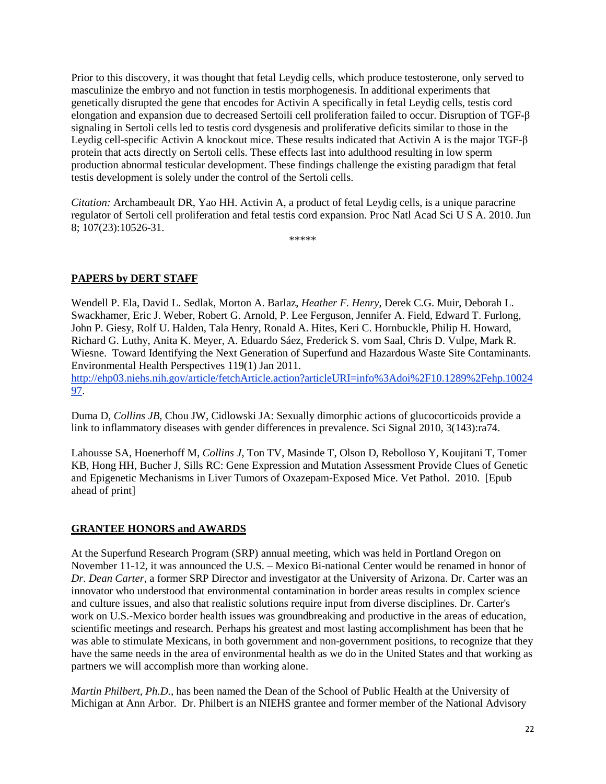Prior to this discovery, it was thought that fetal Leydig cells, which produce testosterone, only served to masculinize the embryo and not function in testis morphogenesis. In additional experiments that genetically disrupted the gene that encodes for Activin A specifically in fetal Leydig cells, testis cord elongation and expansion due to decreased Sertoili cell proliferation failed to occur. Disruption of TGF-β signaling in Sertoli cells led to testis cord dysgenesis and proliferative deficits similar to those in the Leydig cell-specific Activin A knockout mice. These results indicated that Activin A is the major TGF-β protein that acts directly on Sertoli cells. These effects last into adulthood resulting in low sperm production abnormal testicular development. These findings challenge the existing paradigm that fetal testis development is solely under the control of the Sertoli cells.

*Citation:* Archambeault DR, Yao HH. Activin A, a product of fetal Leydig cells, is a unique paracrine regulator of Sertoli cell proliferation and fetal testis cord expansion. Proc Natl Acad Sci U S A. 2010. Jun 8; 107(23):10526-31.

\*\*\*\*\*

## **PAPERS by DERT STAFF**

Wendell P. Ela, David L. Sedlak, Morton A. Barlaz, *Heather F. Henry*, Derek C.G. Muir, Deborah L. Swackhamer, Eric J. Weber, Robert G. Arnold, P. Lee Ferguson, Jennifer A. Field, Edward T. Furlong, John P. Giesy, Rolf U. Halden, Tala Henry, Ronald A. Hites, Keri C. Hornbuckle, Philip H. Howard, Richard G. Luthy, Anita K. Meyer, A. Eduardo Sáez, Frederick S. vom Saal, Chris D. Vulpe, Mark R. Wiesne. Toward Identifying the Next Generation of Superfund and Hazardous Waste Site Contaminants. Environmental Health Perspectives 119(1) Jan 2011.

[http://ehp03.niehs.nih.gov/article/fetchArticle.action?articleURI=info%3Adoi%2F10.1289%2Fehp.10024](http://ehp03.niehs.nih.gov/article/fetchArticle.action?articleURI=info%3Adoi%2F10.1289%2Fehp.1002497) [97.](http://ehp03.niehs.nih.gov/article/fetchArticle.action?articleURI=info%3Adoi%2F10.1289%2Fehp.1002497)

Duma D, *Collins JB*, Chou JW, Cidlowski JA: Sexually dimorphic actions of glucocorticoids provide a link to inflammatory diseases with gender differences in prevalence. Sci Signal 2010, 3(143):ra74.

Lahousse SA, Hoenerhoff M, *Collins J*, Ton TV, Masinde T, Olson D, Rebolloso Y, Koujitani T, Tomer KB, Hong HH, Bucher J, Sills RC: Gene Expression and Mutation Assessment Provide Clues of Genetic and Epigenetic Mechanisms in Liver Tumors of Oxazepam-Exposed Mice. Vet Pathol. 2010. [Epub ahead of print]

### **GRANTEE HONORS and AWARDS**

At the Superfund Research Program (SRP) annual meeting, which was held in Portland Oregon on November 11-12, it was announced the U.S. – Mexico Bi-national Center would be renamed in honor of *Dr. Dean Carter*, a former SRP Director and investigator at the University of Arizona. Dr. Carter was an innovator who understood that environmental contamination in border areas results in complex science and culture issues, and also that realistic solutions require input from diverse disciplines. Dr. Carter's work on U.S.-Mexico border health issues was groundbreaking and productive in the areas of education, scientific meetings and research. Perhaps his greatest and most lasting accomplishment has been that he was able to stimulate Mexicans, in both government and non-government positions, to recognize that they have the same needs in the area of environmental health as we do in the United States and that working as partners we will accomplish more than working alone.

*Martin Philbert, Ph.D.*, has been named the Dean of the School of Public Health at the University of Michigan at Ann Arbor. Dr. Philbert is an NIEHS grantee and former member of the National Advisory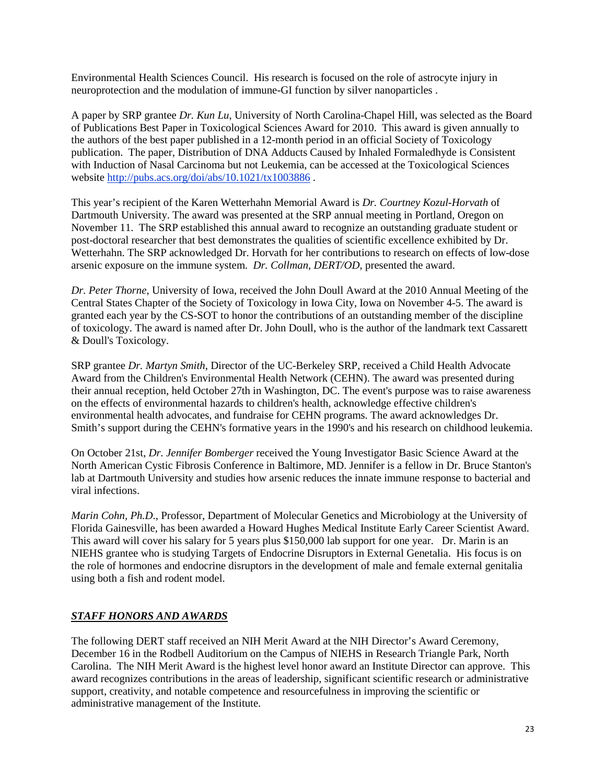Environmental Health Sciences Council. His research is focused on the role of astrocyte injury in neuroprotection and the modulation of immune-GI function by silver nanoparticles .

A paper by SRP grantee *Dr. Kun Lu*, University of North Carolina-Chapel Hill, was selected as the Board of Publications Best Paper in Toxicological Sciences Award for 2010. This award is given annually to the authors of the best paper published in a 12-month period in an official Society of Toxicology publication. The paper, Distribution of DNA Adducts Caused by Inhaled Formaledhyde is Consistent with Induction of Nasal Carcinoma but not Leukemia, can be accessed at the Toxicological Sciences website<http://pubs.acs.org/doi/abs/10.1021/tx1003886> .

This year's recipient of the Karen Wetterhahn Memorial Award is *Dr. Courtney Kozul-Horvath* of Dartmouth University. The award was presented at the SRP annual meeting in Portland, Oregon on November 11. The SRP established this annual award to recognize an outstanding graduate student or post-doctoral researcher that best demonstrates the qualities of scientific excellence exhibited by Dr. Wetterhahn. The SRP acknowledged Dr. Horvath for her contributions to research on effects of low-dose arsenic exposure on the immune system. *Dr. Collman, DERT/OD*, presented the award.

*Dr. Peter Thorne*, University of Iowa, received the John Doull Award at the 2010 Annual Meeting of the Central States Chapter of the Society of Toxicology in Iowa City, Iowa on November 4-5. The award is granted each year by the CS-SOT to honor the contributions of an outstanding member of the discipline of toxicology. The award is named after Dr. John Doull, who is the author of the landmark text Cassarett & Doull's Toxicology.

SRP grantee *Dr. Martyn Smith*, Director of the UC-Berkeley SRP, received a Child Health Advocate Award from the Children's Environmental Health Network (CEHN). The award was presented during their annual reception, held October 27th in Washington, DC. The event's purpose was to raise awareness on the effects of environmental hazards to children's health, acknowledge effective children's environmental health advocates, and fundraise for CEHN programs. The award acknowledges Dr. Smith's support during the CEHN's formative years in the 1990's and his research on childhood leukemia.

On October 21st, *Dr. Jennifer Bomberger* received the Young Investigator Basic Science Award at the North American Cystic Fibrosis Conference in Baltimore, MD. Jennifer is a fellow in Dr. Bruce Stanton's lab at Dartmouth University and studies how arsenic reduces the innate immune response to bacterial and viral infections.

*Marin Cohn, Ph.D*., Professor, Department of Molecular Genetics and Microbiology at the University of Florida Gainesville, has been awarded a Howard Hughes Medical Institute Early Career Scientist Award. This award will cover his salary for 5 years plus \$150,000 lab support for one year. Dr. Marin is an NIEHS grantee who is studying Targets of Endocrine Disruptors in External Genetalia. His focus is on the role of hormones and endocrine disruptors in the development of male and female external genitalia using both a fish and rodent model.

## *STAFF HONORS AND AWARDS*

The following DERT staff received an NIH Merit Award at the NIH Director's Award Ceremony, December 16 in the Rodbell Auditorium on the Campus of NIEHS in Research Triangle Park, North Carolina. The NIH Merit Award is the highest level honor award an Institute Director can approve. This award recognizes contributions in the areas of leadership, significant scientific research or administrative support, creativity, and notable competence and resourcefulness in improving the scientific or administrative management of the Institute.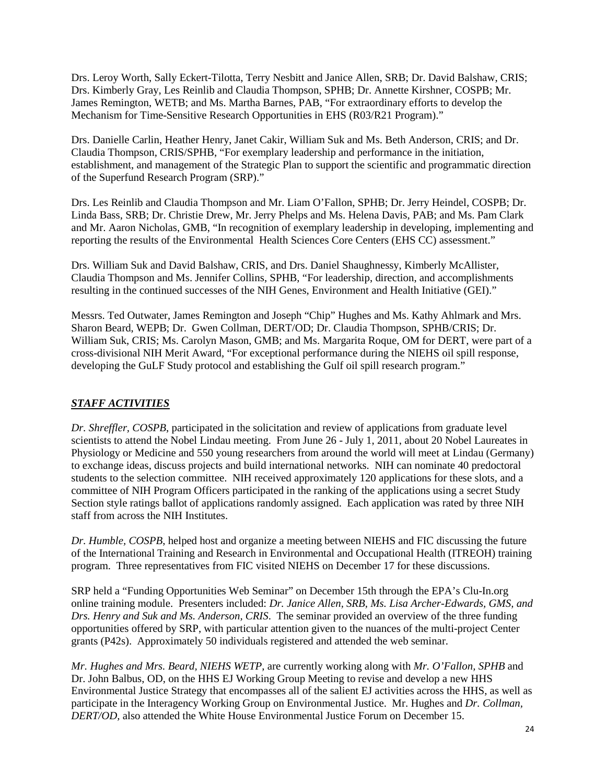Drs. Leroy Worth, Sally Eckert-Tilotta, Terry Nesbitt and Janice Allen, SRB; Dr. David Balshaw, CRIS; Drs. Kimberly Gray, Les Reinlib and Claudia Thompson, SPHB; Dr. Annette Kirshner, COSPB; Mr. James Remington, WETB; and Ms. Martha Barnes, PAB, "For extraordinary efforts to develop the Mechanism for Time-Sensitive Research Opportunities in EHS (R03/R21 Program)."

Drs. Danielle Carlin, Heather Henry, Janet Cakir, William Suk and Ms. Beth Anderson, CRIS; and Dr. Claudia Thompson, CRIS/SPHB, "For exemplary leadership and performance in the initiation, establishment, and management of the Strategic Plan to support the scientific and programmatic direction of the Superfund Research Program (SRP)."

Drs. Les Reinlib and Claudia Thompson and Mr. Liam O'Fallon, SPHB; Dr. Jerry Heindel, COSPB; Dr. Linda Bass, SRB; Dr. Christie Drew, Mr. Jerry Phelps and Ms. Helena Davis, PAB; and Ms. Pam Clark and Mr. Aaron Nicholas, GMB, "In recognition of exemplary leadership in developing, implementing and reporting the results of the Environmental Health Sciences Core Centers (EHS CC) assessment."

Drs. William Suk and David Balshaw, CRIS, and Drs. Daniel Shaughnessy, Kimberly McAllister, Claudia Thompson and Ms. Jennifer Collins, SPHB, "For leadership, direction, and accomplishments resulting in the continued successes of the NIH Genes, Environment and Health Initiative (GEI)."

Messrs. Ted Outwater, James Remington and Joseph "Chip" Hughes and Ms. Kathy Ahlmark and Mrs. Sharon Beard, WEPB; Dr. Gwen Collman, DERT/OD; Dr. Claudia Thompson, SPHB/CRIS; Dr. William Suk, CRIS; Ms. Carolyn Mason, GMB; and Ms. Margarita Roque, OM for DERT, were part of a cross-divisional NIH Merit Award, "For exceptional performance during the NIEHS oil spill response, developing the GuLF Study protocol and establishing the Gulf oil spill research program."

## *STAFF ACTIVITIES*

*Dr. Shreffler, COSPB*, participated in the solicitation and review of applications from graduate level scientists to attend the Nobel Lindau meeting. From June 26 - July 1, 2011, about 20 Nobel Laureates in Physiology or Medicine and 550 young researchers from around the world will meet at Lindau (Germany) to exchange ideas, discuss projects and build international networks. NIH can nominate 40 predoctoral students to the selection committee. NIH received approximately 120 applications for these slots, and a committee of NIH Program Officers participated in the ranking of the applications using a secret Study Section style ratings ballot of applications randomly assigned. Each application was rated by three NIH staff from across the NIH Institutes.

*Dr. Humble, COSPB*, helped host and organize a meeting between NIEHS and FIC discussing the future of the International Training and Research in Environmental and Occupational Health (ITREOH) training program. Three representatives from FIC visited NIEHS on December 17 for these discussions.

SRP held a "Funding Opportunities Web Seminar" on December 15th through the EPA's Clu-In.org online training module. Presenters included: *Dr. Janice Allen, SRB, Ms. Lisa Archer-Edwards, GMS, and Drs. Henry and Suk and Ms. Anderson, CRIS*. The seminar provided an overview of the three funding opportunities offered by SRP, with particular attention given to the nuances of the multi-project Center grants (P42s). Approximately 50 individuals registered and attended the web seminar.

*Mr. Hughes and Mrs. Beard, NIEHS WETP*, are currently working along with *Mr. O'Fallon, SPHB* and Dr. John Balbus, OD, on the HHS EJ Working Group Meeting to revise and develop a new HHS Environmental Justice Strategy that encompasses all of the salient EJ activities across the HHS, as well as participate in the Interagency Working Group on Environmental Justice. Mr. Hughes and *Dr. Collman, DERT/OD,* also attended the White House Environmental Justice Forum on December 15.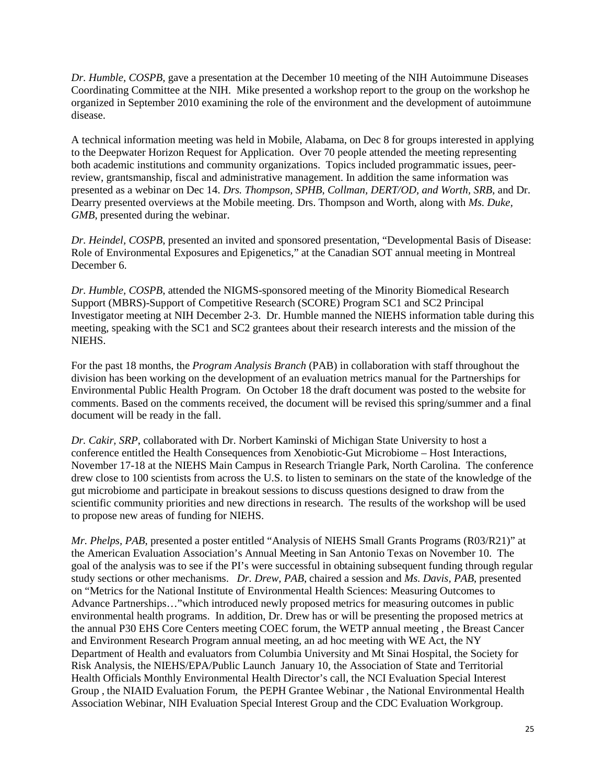*Dr. Humble, COSPB*, gave a presentation at the December 10 meeting of the NIH Autoimmune Diseases Coordinating Committee at the NIH. Mike presented a workshop report to the group on the workshop he organized in September 2010 examining the role of the environment and the development of autoimmune disease.

A technical information meeting was held in Mobile, Alabama, on Dec 8 for groups interested in applying to the Deepwater Horizon Request for Application. Over 70 people attended the meeting representing both academic institutions and community organizations. Topics included programmatic issues, peerreview, grantsmanship, fiscal and administrative management. In addition the same information was presented as a webinar on Dec 14. *Drs. Thompson, SPHB*, *Collman, DERT/OD, and Worth, SRB*, and Dr. Dearry presented overviews at the Mobile meeting. Drs. Thompson and Worth, along with *Ms. Duke, GMB*, presented during the webinar.

*Dr. Heindel, COSPB*, presented an invited and sponsored presentation, "Developmental Basis of Disease: Role of Environmental Exposures and Epigenetics," at the Canadian SOT annual meeting in Montreal December 6.

*Dr. Humble, COSPB*, attended the NIGMS-sponsored meeting of the Minority Biomedical Research Support (MBRS)-Support of Competitive Research (SCORE) Program SC1 and SC2 Principal Investigator meeting at NIH December 2-3. Dr. Humble manned the NIEHS information table during this meeting, speaking with the SC1 and SC2 grantees about their research interests and the mission of the NIEHS.

For the past 18 months, the *Program Analysis Branch* (PAB) in collaboration with staff throughout the division has been working on the development of an evaluation metrics manual for the Partnerships for Environmental Public Health Program. On October 18 the draft document was posted to the website for comments. Based on the comments received, the document will be revised this spring/summer and a final document will be ready in the fall.

*Dr. Cakir, SRP*, collaborated with Dr. Norbert Kaminski of Michigan State University to host a conference entitled the Health Consequences from Xenobiotic-Gut Microbiome – Host Interactions, November 17-18 at the NIEHS Main Campus in Research Triangle Park, North Carolina. The conference drew close to 100 scientists from across the U.S. to listen to seminars on the state of the knowledge of the gut microbiome and participate in breakout sessions to discuss questions designed to draw from the scientific community priorities and new directions in research. The results of the workshop will be used to propose new areas of funding for NIEHS.

*Mr. Phelps, PAB*, presented a poster entitled "Analysis of NIEHS Small Grants Programs (R03/R21)" at the American Evaluation Association's Annual Meeting in San Antonio Texas on November 10. The goal of the analysis was to see if the PI's were successful in obtaining subsequent funding through regular study sections or other mechanisms. *Dr. Drew, PAB*, chaired a session and *Ms. Davis, PAB*, presented on "Metrics for the National Institute of Environmental Health Sciences: Measuring Outcomes to Advance Partnerships…"which introduced newly proposed metrics for measuring outcomes in public environmental health programs. In addition, Dr. Drew has or will be presenting the proposed metrics at the annual P30 EHS Core Centers meeting COEC forum, the WETP annual meeting , the Breast Cancer and Environment Research Program annual meeting, an ad hoc meeting with WE Act, the NY Department of Health and evaluators from Columbia University and Mt Sinai Hospital, the Society for Risk Analysis, the NIEHS/EPA/Public Launch January 10, the Association of State and Territorial Health Officials Monthly Environmental Health Director's call, the NCI Evaluation Special Interest Group , the NIAID Evaluation Forum, the PEPH Grantee Webinar , the National Environmental Health Association Webinar, NIH Evaluation Special Interest Group and the CDC Evaluation Workgroup.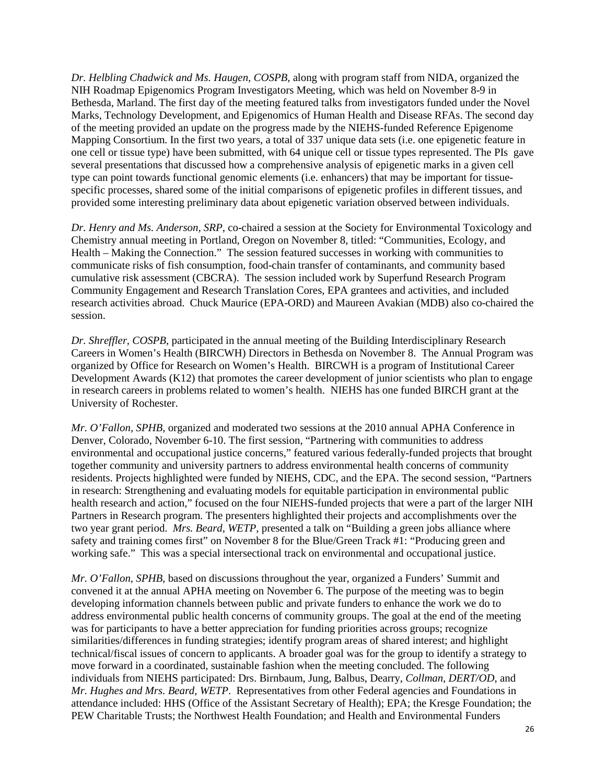*Dr. Helbling Chadwick and Ms. Haugen, COSPB*, along with program staff from NIDA, organized the NIH Roadmap Epigenomics Program Investigators Meeting, which was held on November 8-9 in Bethesda, Marland. The first day of the meeting featured talks from investigators funded under the Novel Marks, Technology Development, and Epigenomics of Human Health and Disease RFAs. The second day of the meeting provided an update on the progress made by the NIEHS-funded Reference Epigenome Mapping Consortium. In the first two years, a total of 337 unique data sets (i.e. one epigenetic feature in one cell or tissue type) have been submitted, with 64 unique cell or tissue types represented. The PIs gave several presentations that discussed how a comprehensive analysis of epigenetic marks in a given cell type can point towards functional genomic elements (i.e. enhancers) that may be important for tissuespecific processes, shared some of the initial comparisons of epigenetic profiles in different tissues, and provided some interesting preliminary data about epigenetic variation observed between individuals.

*Dr. Henry and Ms. Anderson, SRP*, co-chaired a session at the Society for Environmental Toxicology and Chemistry annual meeting in Portland, Oregon on November 8, titled: "Communities, Ecology, and Health – Making the Connection." The session featured successes in working with communities to communicate risks of fish consumption, food-chain transfer of contaminants, and community based cumulative risk assessment (CBCRA). The session included work by Superfund Research Program Community Engagement and Research Translation Cores, EPA grantees and activities, and included research activities abroad. Chuck Maurice (EPA-ORD) and Maureen Avakian (MDB) also co-chaired the session.

*Dr. Shreffler, COSPB*, participated in the annual meeting of the Building Interdisciplinary Research Careers in Women's Health (BIRCWH) Directors in Bethesda on November 8. The Annual Program was organized by Office for Research on Women's Health. BIRCWH is a program of Institutional Career Development Awards (K12) that promotes the career development of junior scientists who plan to engage in research careers in problems related to women's health. NIEHS has one funded BIRCH grant at the University of Rochester.

*Mr. O'Fallon, SPHB*, organized and moderated two sessions at the 2010 annual APHA Conference in Denver, Colorado, November 6-10. The first session, "Partnering with communities to address environmental and occupational justice concerns," featured various federally-funded projects that brought together community and university partners to address environmental health concerns of community residents. Projects highlighted were funded by NIEHS, CDC, and the EPA. The second session, "Partners in research: Strengthening and evaluating models for equitable participation in environmental public health research and action," focused on the four NIEHS-funded projects that were a part of the larger NIH Partners in Research program. The presenters highlighted their projects and accomplishments over the two year grant period. *Mrs. Beard, WETP*, presented a talk on "Building a green jobs alliance where safety and training comes first" on November 8 for the Blue/Green Track #1: "Producing green and working safe." This was a special intersectional track on environmental and occupational justice.

*Mr. O'Fallon, SPHB*, based on discussions throughout the year, organized a Funders' Summit and convened it at the annual APHA meeting on November 6. The purpose of the meeting was to begin developing information channels between public and private funders to enhance the work we do to address environmental public health concerns of community groups. The goal at the end of the meeting was for participants to have a better appreciation for funding priorities across groups; recognize similarities/differences in funding strategies; identify program areas of shared interest; and highlight technical/fiscal issues of concern to applicants. A broader goal was for the group to identify a strategy to move forward in a coordinated, sustainable fashion when the meeting concluded. The following individuals from NIEHS participated: Drs. Birnbaum, Jung, Balbus, Dearry, *Collman, DERT/OD*, and *Mr. Hughes and Mrs. Beard, WETP*. Representatives from other Federal agencies and Foundations in attendance included: HHS (Office of the Assistant Secretary of Health); EPA; the Kresge Foundation; the PEW Charitable Trusts; the Northwest Health Foundation; and Health and Environmental Funders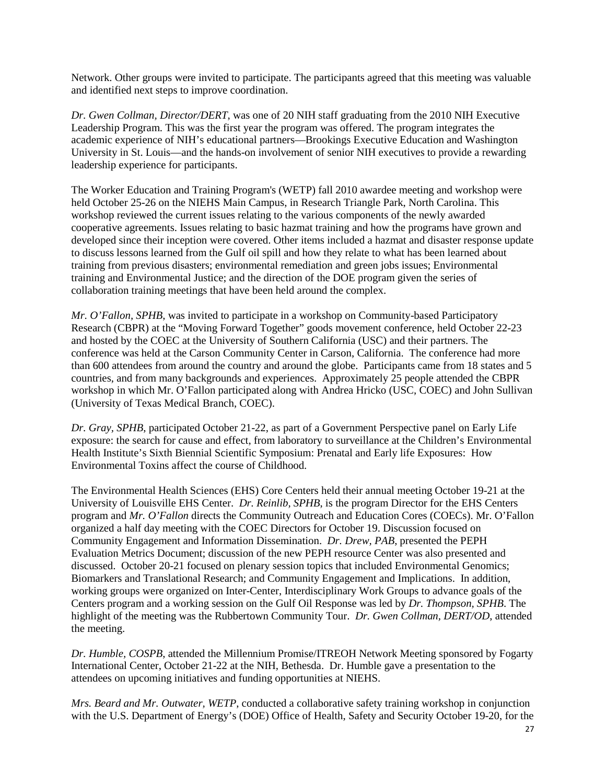Network. Other groups were invited to participate. The participants agreed that this meeting was valuable and identified next steps to improve coordination.

*Dr. Gwen Collman, Director/DERT*, was one of 20 NIH staff graduating from the 2010 NIH Executive Leadership Program. This was the first year the program was offered. The program integrates the academic experience of NIH's educational partners—Brookings Executive Education and Washington University in St. Louis—and the hands-on involvement of senior NIH executives to provide a rewarding leadership experience for participants.

The Worker Education and Training Program's (WETP) fall 2010 awardee meeting and workshop were held October 25-26 on the NIEHS Main Campus, in Research Triangle Park, North Carolina. This workshop reviewed the current issues relating to the various components of the newly awarded cooperative agreements. Issues relating to basic hazmat training and how the programs have grown and developed since their inception were covered. Other items included a hazmat and disaster response update to discuss lessons learned from the Gulf oil spill and how they relate to what has been learned about training from previous disasters; environmental remediation and green jobs issues; Environmental training and Environmental Justice; and the direction of the DOE program given the series of collaboration training meetings that have been held around the complex.

*Mr. O'Fallon, SPHB*, was invited to participate in a workshop on Community-based Participatory Research (CBPR) at the "Moving Forward Together" goods movement conference, held October 22-23 and hosted by the COEC at the University of Southern California (USC) and their partners. The conference was held at the Carson Community Center in Carson, California. The conference had more than 600 attendees from around the country and around the globe. Participants came from 18 states and 5 countries, and from many backgrounds and experiences. Approximately 25 people attended the CBPR workshop in which Mr. O'Fallon participated along with Andrea Hricko (USC, COEC) and John Sullivan (University of Texas Medical Branch, COEC).

*Dr. Gray, SPHB*, participated October 21-22, as part of a Government Perspective panel on Early Life exposure: the search for cause and effect, from laboratory to surveillance at the Children's Environmental Health Institute's Sixth Biennial Scientific Symposium: Prenatal and Early life Exposures: How Environmental Toxins affect the course of Childhood.

The Environmental Health Sciences (EHS) Core Centers held their annual meeting October 19-21 at the University of Louisville EHS Center. *Dr. Reinlib, SPHB*, is the program Director for the EHS Centers program and *Mr. O'Fallon* directs the Community Outreach and Education Cores (COECs). Mr. O'Fallon organized a half day meeting with the COEC Directors for October 19. Discussion focused on Community Engagement and Information Dissemination. *Dr. Drew, PAB*, presented the PEPH Evaluation Metrics Document; discussion of the new PEPH resource Center was also presented and discussed. October 20-21 focused on plenary session topics that included Environmental Genomics; Biomarkers and Translational Research; and Community Engagement and Implications. In addition, working groups were organized on Inter-Center, Interdisciplinary Work Groups to advance goals of the Centers program and a working session on the Gulf Oil Response was led by *Dr. Thompson, SPHB*. The highlight of the meeting was the Rubbertown Community Tour. *Dr. Gwen Collman, DERT/OD*, attended the meeting.

*Dr. Humble, COSPB*, attended the Millennium Promise/ITREOH Network Meeting sponsored by Fogarty International Center, October 21-22 at the NIH, Bethesda. Dr. Humble gave a presentation to the attendees on upcoming initiatives and funding opportunities at NIEHS.

*Mrs. Beard and Mr. Outwater, WETP*, conducted a collaborative safety training workshop in conjunction with the U.S. Department of Energy's (DOE) Office of Health, Safety and Security October 19-20, for the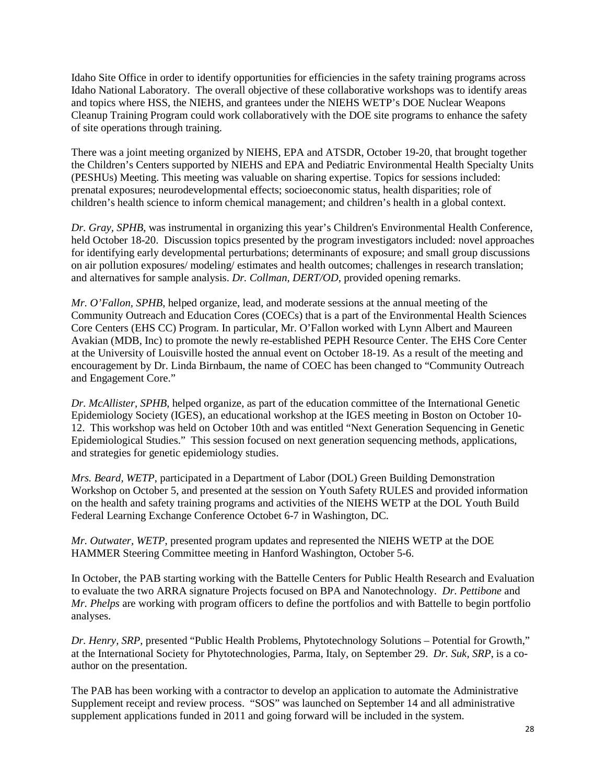Idaho Site Office in order to identify opportunities for efficiencies in the safety training programs across Idaho National Laboratory. The overall objective of these collaborative workshops was to identify areas and topics where HSS, the NIEHS, and grantees under the NIEHS WETP's DOE Nuclear Weapons Cleanup Training Program could work collaboratively with the DOE site programs to enhance the safety of site operations through training.

There was a joint meeting organized by NIEHS, EPA and ATSDR, October 19-20, that brought together the Children's Centers supported by NIEHS and EPA and Pediatric Environmental Health Specialty Units (PESHUs) Meeting. This meeting was valuable on sharing expertise. Topics for sessions included: prenatal exposures; neurodevelopmental effects; socioeconomic status, health disparities; role of children's health science to inform chemical management; and children's health in a global context.

*Dr. Gray, SPHB*, was instrumental in organizing this year's Children's Environmental Health Conference, held October 18-20. Discussion topics presented by the program investigators included: novel approaches for identifying early developmental perturbations; determinants of exposure; and small group discussions on air pollution exposures/ modeling/ estimates and health outcomes; challenges in research translation; and alternatives for sample analysis. *Dr. Collman, DERT/OD*, provided opening remarks.

*Mr. O'Fallon, SPHB*, helped organize, lead, and moderate sessions at the annual meeting of the Community Outreach and Education Cores (COECs) that is a part of the Environmental Health Sciences Core Centers (EHS CC) Program. In particular, Mr. O'Fallon worked with Lynn Albert and Maureen Avakian (MDB, Inc) to promote the newly re-established PEPH Resource Center. The EHS Core Center at the University of Louisville hosted the annual event on October 18-19. As a result of the meeting and encouragement by Dr. Linda Birnbaum, the name of COEC has been changed to "Community Outreach and Engagement Core."

*Dr. McAllister, SPHB*, helped organize, as part of the education committee of the International Genetic Epidemiology Society (IGES), an educational workshop at the IGES meeting in Boston on October 10- 12. This workshop was held on October 10th and was entitled "Next Generation Sequencing in Genetic Epidemiological Studies." This session focused on next generation sequencing methods, applications, and strategies for genetic epidemiology studies.

*Mrs. Beard, WETP*, participated in a Department of Labor (DOL) Green Building Demonstration Workshop on October 5, and presented at the session on Youth Safety RULES and provided information on the health and safety training programs and activities of the NIEHS WETP at the DOL Youth Build Federal Learning Exchange Conference Octobet 6-7 in Washington, DC.

*Mr. Outwater, WETP*, presented program updates and represented the NIEHS WETP at the DOE HAMMER Steering Committee meeting in Hanford Washington, October 5-6.

In October, the PAB starting working with the Battelle Centers for Public Health Research and Evaluation to evaluate the two ARRA signature Projects focused on BPA and Nanotechnology. *Dr. Pettibone* and *Mr. Phelps* are working with program officers to define the portfolios and with Battelle to begin portfolio analyses.

*Dr. Henry, SRP*, presented "Public Health Problems, Phytotechnology Solutions – Potential for Growth," at the International Society for Phytotechnologies, Parma, Italy, on September 29. *Dr. Suk, SRP*, is a coauthor on the presentation.

The PAB has been working with a contractor to develop an application to automate the Administrative Supplement receipt and review process. "SOS" was launched on September 14 and all administrative supplement applications funded in 2011 and going forward will be included in the system.